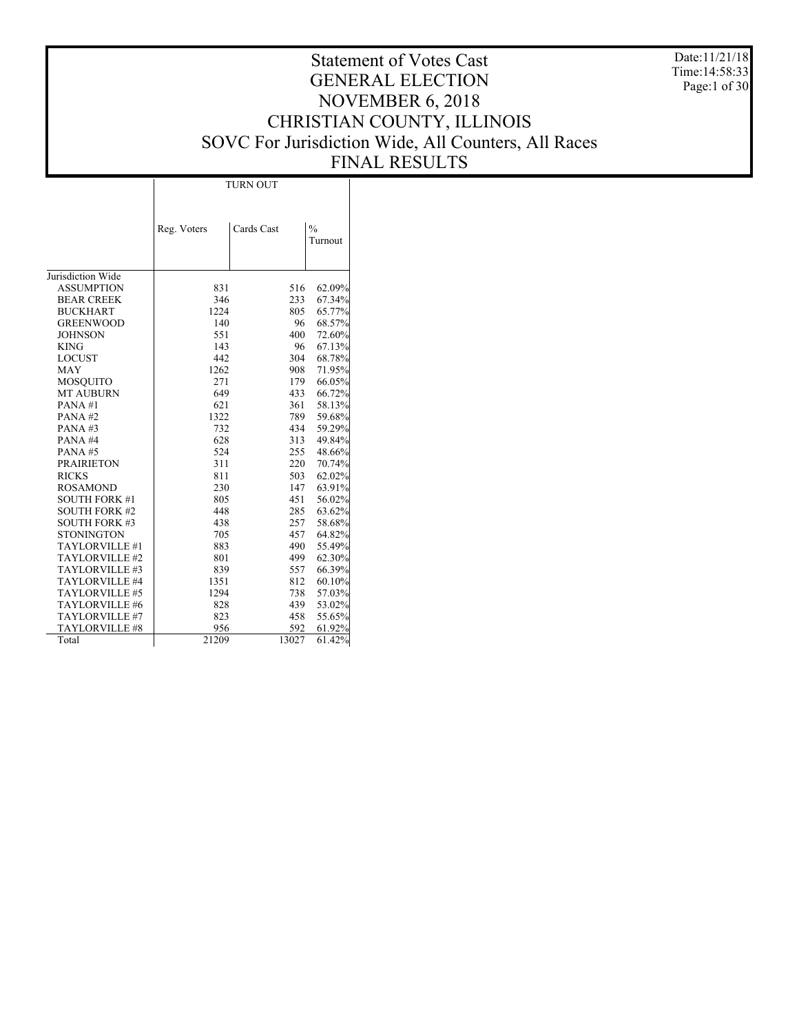Date:11/21/18 Time:14:58:33 Page:1 of 30

|                       | <b>TURN OUT</b> |            |               |  |  |  |  |
|-----------------------|-----------------|------------|---------------|--|--|--|--|
|                       |                 |            |               |  |  |  |  |
|                       |                 |            |               |  |  |  |  |
|                       | Reg. Voters     | Cards Cast | $\frac{0}{0}$ |  |  |  |  |
|                       |                 |            | Turnout       |  |  |  |  |
|                       |                 |            |               |  |  |  |  |
| Jurisdiction Wide     |                 |            |               |  |  |  |  |
| <b>ASSUMPTION</b>     | 831             | 516        | 62.09%        |  |  |  |  |
| <b>BEAR CREEK</b>     | 346             | 233        | 67.34%        |  |  |  |  |
| <b>BUCKHART</b>       | 1224            | 805        | 65.77%        |  |  |  |  |
| <b>GREENWOOD</b>      | 140             | 96         | 68.57%        |  |  |  |  |
| <b>JOHNSON</b>        | 551             | 400        | 72.60%        |  |  |  |  |
| <b>KING</b>           | 143             | 96         | 67.13%        |  |  |  |  |
| <b>LOCUST</b>         | 442             | 304        | 68.78%        |  |  |  |  |
| <b>MAY</b>            | 1262            | 908        | 71.95%        |  |  |  |  |
| <b>MOSQUITO</b>       | 271             | 179        | 66.05%        |  |  |  |  |
| <b>MT AUBURN</b>      | 649             | 433        | 66.72%        |  |  |  |  |
| PANA#1                | 621             | 361        | 58.13%        |  |  |  |  |
| PANA#2                | 1322            | 789        | 59.68%        |  |  |  |  |
| PANA#3                | 732             | 434        | 59.29%        |  |  |  |  |
| PANA#4                | 628             | 313        | 49.84%        |  |  |  |  |
| PANA#5                | 524             | 255        | 48.66%        |  |  |  |  |
| <b>PRAIRIETON</b>     | 311             | 220        | 70.74%        |  |  |  |  |
| <b>RICKS</b>          | 811             | 503        | 62.02%        |  |  |  |  |
| <b>ROSAMOND</b>       | 230             | 147        | 63.91%        |  |  |  |  |
| <b>SOUTH FORK #1</b>  | 805             | 451        | 56.02%        |  |  |  |  |
| <b>SOUTH FORK #2</b>  | 448             | 285        | 63.62%        |  |  |  |  |
| <b>SOUTH FORK #3</b>  | 438             | 257        | 58.68%        |  |  |  |  |
| <b>STONINGTON</b>     | 705             | 457        | 64.82%        |  |  |  |  |
| TAYLORVILLE #1        | 883             | 490        | 55.49%        |  |  |  |  |
| TAYLORVILLE #2        | 801             | 499        | 62.30%        |  |  |  |  |
| TAYLORVILLE #3        | 839             | 557        | 66.39%        |  |  |  |  |
| TAYLORVILLE #4        | 1351            | 812        | 60.10%        |  |  |  |  |
| TAYLORVILLE #5        | 1294            | 738        | 57.03%        |  |  |  |  |
| TAYLORVILLE #6        | 828             | 439        | 53.02%        |  |  |  |  |
| TAYLORVILLE #7        | 823             | 458        | 55.65%        |  |  |  |  |
| <b>TAYLORVILLE #8</b> | 956             | 592        | 61.92%        |  |  |  |  |
| Total                 | 21209           | 13027      | 61.42%        |  |  |  |  |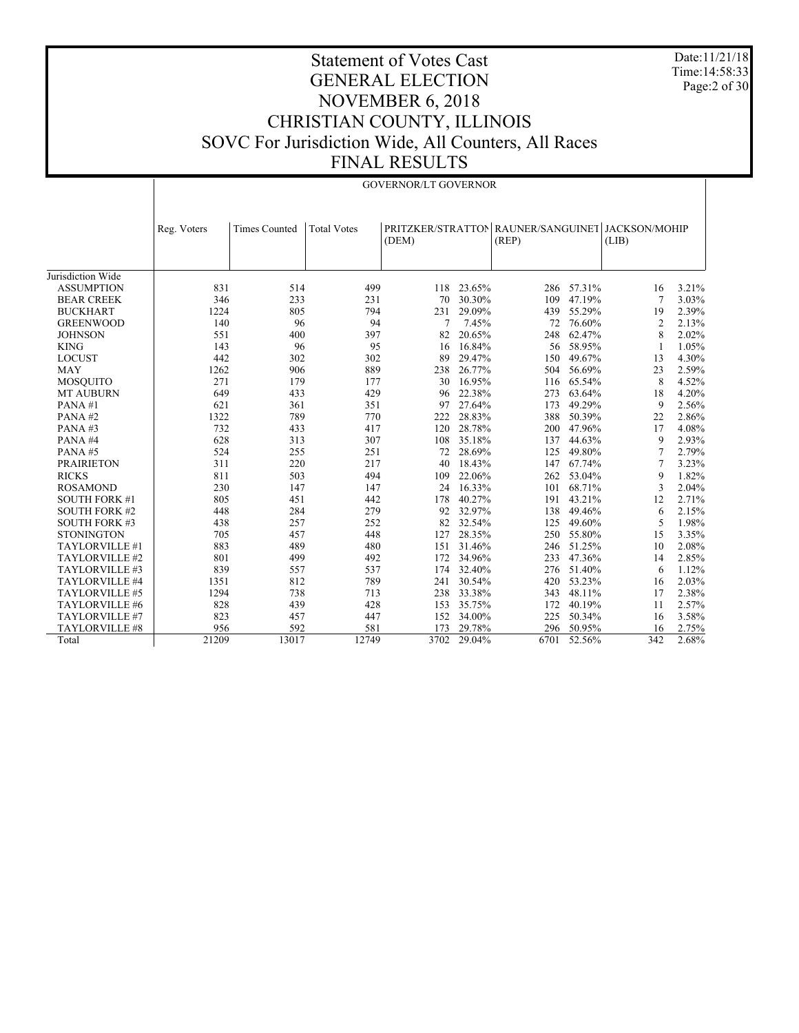Date:11/21/18 Time:14:58:33 Page:2 of 30

|                      | <b>GOVERNOR/LT GOVERNOR</b> |                      |                    |        |        |                                                           |            |                |       |
|----------------------|-----------------------------|----------------------|--------------------|--------|--------|-----------------------------------------------------------|------------|----------------|-------|
|                      | Reg. Voters                 | <b>Times Counted</b> | <b>Total Votes</b> | (DEM)  |        | PRITZKER/STRATTON RAUNER/SANGUINET JACKSON/MOHIP<br>(REP) |            | (LIB)          |       |
| Jurisdiction Wide    |                             |                      |                    |        |        |                                                           |            |                |       |
| <b>ASSUMPTION</b>    | 831                         | 514                  | 499                | 118    | 23.65% |                                                           | 286 57.31% | 16             | 3.21% |
| <b>BEAR CREEK</b>    | 346                         | 233                  | 231                | 70     | 30.30% | 109                                                       | 47.19%     | 7              | 3.03% |
| <b>BUCKHART</b>      | 1224                        | 805                  | 794                | 231    | 29.09% | 439                                                       | 55.29%     | 19             | 2.39% |
| <b>GREENWOOD</b>     | 140                         | 96                   | 94                 | $\tau$ | 7.45%  | 72                                                        | 76.60%     | $\overline{c}$ | 2.13% |
| <b>JOHNSON</b>       | 551                         | 400                  | 397                | 82     | 20.65% | 248                                                       | 62.47%     | 8              | 2.02% |
| <b>KING</b>          | 143                         | 96                   | 95                 | 16     | 16.84% |                                                           | 56 58.95%  | 1              | 1.05% |
| <b>LOCUST</b>        | 442                         | 302                  | 302                | 89     | 29.47% | 150                                                       | 49.67%     | 13             | 4.30% |
| <b>MAY</b>           | 1262                        | 906                  | 889                | 238    | 26.77% | 504                                                       | 56.69%     | 23             | 2.59% |
| <b>MOSQUITO</b>      | 271                         | 179                  | 177                | 30     | 16.95% | 116                                                       | 65.54%     | 8              | 4.52% |
| <b>MT AUBURN</b>     | 649                         | 433                  | 429                | 96     | 22.38% | 273                                                       | 63.64%     | 18             | 4.20% |
| PANA#1               | 621                         | 361                  | 351                | 97     | 27.64% | 173                                                       | 49.29%     | 9              | 2.56% |
| PANA#2               | 1322                        | 789                  | 770                | 222    | 28.83% | 388                                                       | 50.39%     | 22             | 2.86% |
| PANA#3               | 732                         | 433                  | 417                | 120    | 28.78% | 200                                                       | 47.96%     | 17             | 4.08% |
| PANA#4               | 628                         | 313                  | 307                | 108    | 35.18% | 137                                                       | 44.63%     | 9              | 2.93% |
| PANA#5               | 524                         | 255                  | 251                | 72     | 28.69% | 125                                                       | 49.80%     | 7              | 2.79% |
| <b>PRAIRIETON</b>    | 311                         | 220                  | 217                | 40     | 18.43% | 147                                                       | 67.74%     | 7              | 3.23% |
| <b>RICKS</b>         | 811                         | 503                  | 494                | 109    | 22.06% | 262                                                       | 53.04%     | 9              | 1.82% |
| <b>ROSAMOND</b>      | 230                         | 147                  | 147                | 24     | 16.33% | 101                                                       | 68.71%     | 3              | 2.04% |
| <b>SOUTH FORK #1</b> | 805                         | 451                  | 442                | 178    | 40.27% | 191                                                       | 43.21%     | 12             | 2.71% |
| <b>SOUTH FORK #2</b> | 448                         | 284                  | 279                | 92     | 32.97% | 138                                                       | 49.46%     | 6              | 2.15% |
| <b>SOUTH FORK #3</b> | 438                         | 257                  | 252                | 82     | 32.54% | 125                                                       | 49.60%     | 5              | 1.98% |
| <b>STONINGTON</b>    | 705                         | 457                  | 448                | 127    | 28.35% | 250                                                       | 55.80%     | 15             | 3.35% |
| TAYLORVILLE #1       | 883                         | 489                  | 480                | 151    | 31.46% |                                                           | 246 51.25% | 10             | 2.08% |
| TAYLORVILLE #2       | 801                         | 499                  | 492                | 172    | 34.96% | 233                                                       | 47.36%     | 14             | 2.85% |
| TAYLORVILLE #3       | 839                         | 557                  | 537                | 174    | 32.40% | 276                                                       | 51.40%     | 6              | 1.12% |
| TAYLORVILLE #4       | 1351                        | 812                  | 789                | 241    | 30.54% | 420                                                       | 53.23%     | 16             | 2.03% |
| TAYLORVILLE #5       | 1294                        | 738                  | 713                | 238    | 33.38% | 343                                                       | 48.11%     | 17             | 2.38% |
| TAYLORVILLE #6       | 828                         | 439                  | 428                | 153    | 35.75% | 172                                                       | 40.19%     | 11             | 2.57% |
| TAYLORVILLE #7       | 823                         | 457                  | 447                | 152    | 34.00% | 225                                                       | 50.34%     | 16             | 3.58% |
| TAYLORVILLE #8       | 956                         | 592                  | 581                | 173    | 29.78% | 296                                                       | 50.95%     | 16             | 2.75% |
| Total                | 21209                       | 13017                | 12749              | 3702   | 29.04% | 6701                                                      | 52.56%     | 342            | 2.68% |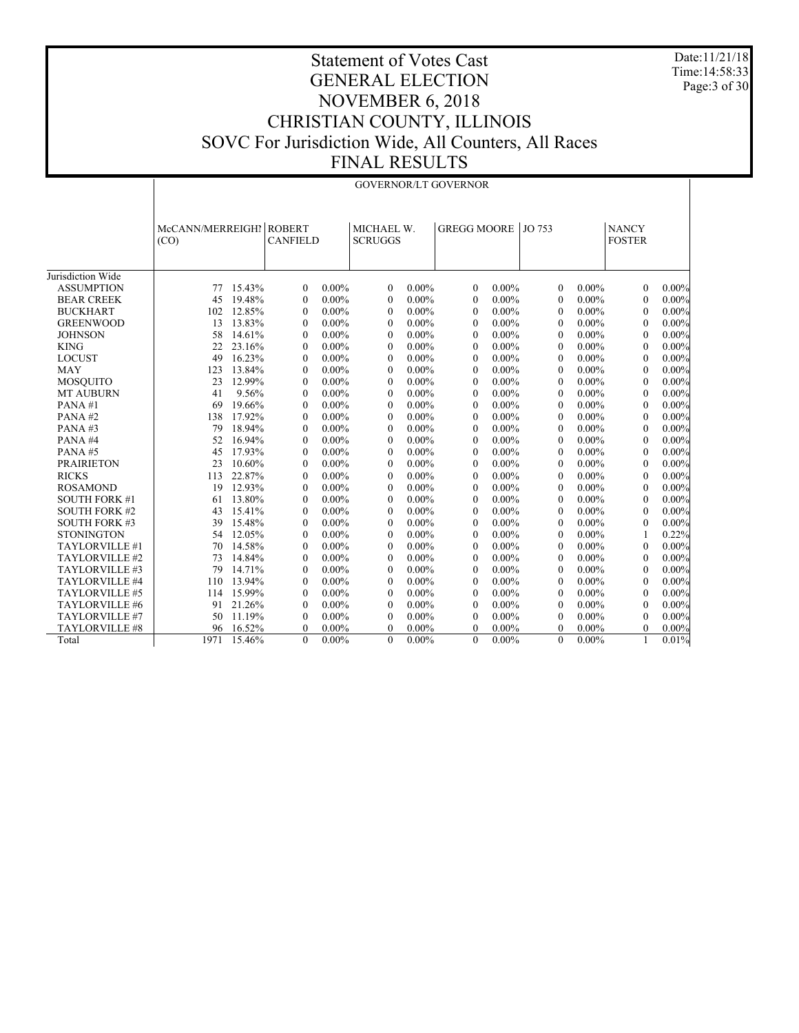Date:11/21/18 Time:14:58:33 Page:3 of 30

|                      | <b>GOVERNOR/LT GOVERNOR</b> |        |                                  |          |                              |          |                    |          |              |          |                               |          |
|----------------------|-----------------------------|--------|----------------------------------|----------|------------------------------|----------|--------------------|----------|--------------|----------|-------------------------------|----------|
|                      | McCANN/MERREIGHI<br>(CO)    |        | <b>ROBERT</b><br><b>CANFIELD</b> |          | MICHAEL W.<br><b>SCRUGGS</b> |          | GREGG MOORE JO 753 |          |              |          | <b>NANCY</b><br><b>FOSTER</b> |          |
| Jurisdiction Wide    |                             |        |                                  |          |                              |          |                    |          |              |          |                               |          |
| <b>ASSUMPTION</b>    | 77                          | 15.43% | $\theta$                         | $0.00\%$ | $\theta$                     | $0.00\%$ | $\theta$           | $0.00\%$ | $\Omega$     | $0.00\%$ | $\theta$                      | $0.00\%$ |
| <b>BEAR CREEK</b>    | 45                          | 19.48% | $\theta$                         | $0.00\%$ | $\theta$                     | $0.00\%$ | $\boldsymbol{0}$   | $0.00\%$ | $\mathbf{0}$ | $0.00\%$ | $\mathbf{0}$                  | $0.00\%$ |
| <b>BUCKHART</b>      | 102                         | 12.85% | $\mathbf{0}$                     | $0.00\%$ | $\mathbf{0}$                 | $0.00\%$ | $\mathbf{0}$       | $0.00\%$ | $\mathbf{0}$ | $0.00\%$ | $\mathbf{0}$                  | $0.00\%$ |
| <b>GREENWOOD</b>     | 13                          | 13.83% | $\theta$                         | $0.00\%$ | $\theta$                     | $0.00\%$ | $\mathbf{0}$       | $0.00\%$ | $\mathbf{0}$ | $0.00\%$ | $\mathbf{0}$                  | $0.00\%$ |
| <b>JOHNSON</b>       | 58                          | 14.61% | $\theta$                         | $0.00\%$ | $\Omega$                     | $0.00\%$ | $\theta$           | $0.00\%$ | $\Omega$     | $0.00\%$ | $\theta$                      | $0.00\%$ |
| <b>KING</b>          | 22                          | 23.16% | $\theta$                         | $0.00\%$ | $\theta$                     | $0.00\%$ | $\theta$           | $0.00\%$ | $\theta$     | $0.00\%$ | $\theta$                      | $0.00\%$ |
| <b>LOCUST</b>        | 49                          | 16.23% | $\theta$                         | $0.00\%$ | $\Omega$                     | $0.00\%$ | $\theta$           | $0.00\%$ | $\mathbf{0}$ | $0.00\%$ | $\theta$                      | $0.00\%$ |
| <b>MAY</b>           | 123                         | 13.84% | $\theta$                         | $0.00\%$ | $\Omega$                     | $0.00\%$ | $\Omega$           | $0.00\%$ | $\theta$     | $0.00\%$ | $\theta$                      | $0.00\%$ |
| <b>MOSQUITO</b>      | 23                          | 12.99% | $\theta$                         | $0.00\%$ | $\theta$                     | $0.00\%$ | $\theta$           | $0.00\%$ | $\mathbf{0}$ | $0.00\%$ | $\mathbf{0}$                  | $0.00\%$ |
| <b>MT AUBURN</b>     | 41                          | 9.56%  | $\theta$                         | $0.00\%$ | $\theta$                     | $0.00\%$ | $\theta$           | $0.00\%$ | $\mathbf{0}$ | $0.00\%$ | $\mathbf{0}$                  | $0.00\%$ |
| PANA#1               | 69                          | 19.66% | $\mathbf{0}$                     | $0.00\%$ | $\theta$                     | $0.00\%$ | $\mathbf{0}$       | $0.00\%$ | $\mathbf{0}$ | $0.00\%$ | $\mathbf{0}$                  | $0.00\%$ |
| PANA#2               | 138                         | 17.92% | $\theta$                         | $0.00\%$ | $\Omega$                     | $0.00\%$ | $\theta$           | $0.00\%$ | $\theta$     | $0.00\%$ | $\mathbf{0}$                  | $0.00\%$ |
| PANA#3               | 79                          | 18.94% | $\theta$                         | $0.00\%$ | $\theta$                     | $0.00\%$ | $\theta$           | $0.00\%$ | $\theta$     | $0.00\%$ | $\theta$                      | $0.00\%$ |
| PANA#4               | 52                          | 16.94% | $\theta$                         | $0.00\%$ | $\Omega$                     | $0.00\%$ | $\theta$           | $0.00\%$ | $\theta$     | $0.00\%$ | $\theta$                      | $0.00\%$ |
| PANA#5               | 45                          | 17.93% | $\theta$                         | $0.00\%$ | $\theta$                     | $0.00\%$ | $\theta$           | $0.00\%$ | $\theta$     | $0.00\%$ | $\theta$                      | $0.00\%$ |
| <b>PRAIRIETON</b>    | 23                          | 10.60% | $\mathbf{0}$                     | $0.00\%$ | $\theta$                     | $0.00\%$ | $\mathbf{0}$       | $0.00\%$ | $\mathbf{0}$ | $0.00\%$ | $\mathbf{0}$                  | $0.00\%$ |
| <b>RICKS</b>         | 113                         | 22.87% | $\mathbf{0}$                     | $0.00\%$ | $\theta$                     | $0.00\%$ | $\boldsymbol{0}$   | $0.00\%$ | $\mathbf{0}$ | $0.00\%$ | $\mathbf{0}$                  | $0.00\%$ |
| <b>ROSAMOND</b>      | 19                          | 12.93% | $\theta$                         | $0.00\%$ | $\theta$                     | $0.00\%$ | $\theta$           | $0.00\%$ | $\mathbf{0}$ | $0.00\%$ | $\theta$                      | $0.00\%$ |
| <b>SOUTH FORK #1</b> | 61                          | 13.80% | $\theta$                         | $0.00\%$ | $\theta$                     | $0.00\%$ | $\theta$           | $0.00\%$ | $\theta$     | $0.00\%$ | $\theta$                      | $0.00\%$ |
| <b>SOUTH FORK #2</b> | 43                          | 15.41% | $\theta$                         | $0.00\%$ | $\theta$                     | $0.00\%$ | $\theta$           | $0.00\%$ | $\mathbf{0}$ | $0.00\%$ | $\mathbf{0}$                  | $0.00\%$ |
| <b>SOUTH FORK #3</b> | 39                          | 15.48% | $\Omega$                         | $0.00\%$ | $\Omega$                     | $0.00\%$ | $\theta$           | $0.00\%$ | $\theta$     | $0.00\%$ | $\theta$                      | $0.00\%$ |
| <b>STONINGTON</b>    | 54                          | 12.05% | $\Omega$                         | $0.00\%$ | $\Omega$                     | $0.00\%$ | $\Omega$           | $0.00\%$ | $\Omega$     | $0.00\%$ |                               | 0.22%    |
| TAYLORVILLE #1       | 70                          | 14.58% | $\theta$                         | $0.00\%$ | $\theta$                     | $0.00\%$ | $\theta$           | $0.00\%$ | $\Omega$     | $0.00\%$ | $\theta$                      | $0.00\%$ |
| TAYLORVILLE #2       | 73                          | 14.84% | $\mathbf{0}$                     | $0.00\%$ | $\theta$                     | $0.00\%$ | $\mathbf{0}$       | $0.00\%$ | $\mathbf{0}$ | $0.00\%$ | $\mathbf{0}$                  | $0.00\%$ |
| TAYLORVILLE #3       | 79                          | 14.71% | $\theta$                         | $0.00\%$ | $\theta$                     | $0.00\%$ | $\boldsymbol{0}$   | $0.00\%$ | $\mathbf{0}$ | $0.00\%$ | $\bf{0}$                      | $0.00\%$ |
| TAYLORVILLE #4       | 110                         | 13.94% | $\theta$                         | $0.00\%$ | $\Omega$                     | $0.00\%$ | $\Omega$           | $0.00\%$ | $\theta$     | $0.00\%$ | $\theta$                      | $0.00\%$ |
| TAYLORVILLE #5       | 114                         | 15.99% | $\theta$                         | $0.00\%$ | $\theta$                     | $0.00\%$ | $\theta$           | $0.00\%$ | $\theta$     | $0.00\%$ | $\theta$                      | $0.00\%$ |
| TAYLORVILLE #6       | 91                          | 21.26% | $\theta$                         | $0.00\%$ | $\theta$                     | $0.00\%$ | $\theta$           | $0.00\%$ | $\mathbf{0}$ | $0.00\%$ | $\theta$                      | $0.00\%$ |
| TAYLORVILLE #7       | 50                          | 11.19% | $\theta$                         | $0.00\%$ | $\Omega$                     | $0.00\%$ | $\theta$           | $0.00\%$ | $\Omega$     | $0.00\%$ | $\Omega$                      | $0.00\%$ |
| TAYLORVILLE #8       | 96                          | 16.52% | $\theta$                         | $0.00\%$ | $\Omega$                     | $0.00\%$ | $\theta$           | $0.00\%$ | $\theta$     | $0.00\%$ | $\Omega$                      | $0.00\%$ |
| Total                | 1971                        | 15.46% | $\theta$                         | $0.00\%$ | $\theta$                     | $0.00\%$ | $\theta$           | $0.00\%$ | $\theta$     | $0.00\%$ |                               | 0.01%    |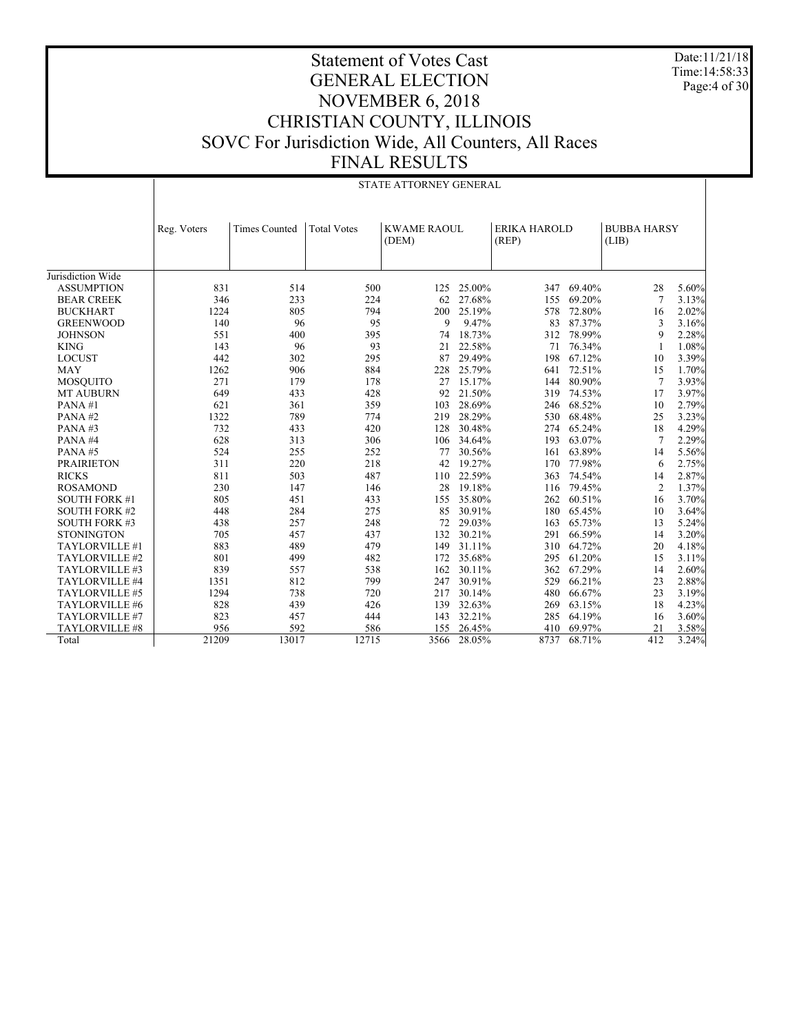Date:11/21/18 Time:14:58:33 Page:4 of 30

|                      | STATE ATTORNEY GENERAL |                      |                    |                             |            |                              |            |                             |       |  |
|----------------------|------------------------|----------------------|--------------------|-----------------------------|------------|------------------------------|------------|-----------------------------|-------|--|
|                      | Reg. Voters            | <b>Times Counted</b> | <b>Total Votes</b> | <b>KWAME RAOUL</b><br>(DEM) |            | <b>ERIKA HAROLD</b><br>(REP) |            | <b>BUBBA HARSY</b><br>(LIB) |       |  |
| Jurisdiction Wide    |                        |                      |                    |                             |            |                              |            |                             |       |  |
| <b>ASSUMPTION</b>    | 831                    | 514                  | 500                |                             | 125 25.00% | 347                          | 69.40%     | 28                          | 5.60% |  |
| <b>BEAR CREEK</b>    | 346                    | 233                  | 224                | 62                          | 27.68%     | 155                          | 69.20%     | 7                           | 3.13% |  |
| <b>BUCKHART</b>      | 1224                   | 805                  | 794                | 200                         | 25.19%     | 578                          | 72.80%     | 16                          | 2.02% |  |
|                      |                        |                      | 95                 | 9                           |            |                              |            |                             |       |  |
| <b>GREENWOOD</b>     | 140<br>551             | 96                   | 395                |                             | 9.47%      | 83                           | 87.37%     | 3<br>9                      | 3.16% |  |
| <b>JOHNSON</b>       |                        | 400                  |                    | 74                          | 18.73%     | 312                          | 78.99%     |                             | 2.28% |  |
| <b>KING</b>          | 143                    | 96                   | 93                 | 21                          | 22.58%     | 71                           | 76.34%     | -1                          | 1.08% |  |
| <b>LOCUST</b>        | 442                    | 302                  | 295                | 87                          | 29.49%     | 198                          | 67.12%     | 10                          | 3.39% |  |
| <b>MAY</b>           | 1262                   | 906                  | 884                | 228                         | 25.79%     | 641                          | 72.51%     | 15                          | 1.70% |  |
| <b>MOSQUITO</b>      | 271                    | 179                  | 178                | 27                          | 15.17%     |                              | 144 80.90% | 7                           | 3.93% |  |
| <b>MT AUBURN</b>     | 649                    | 433                  | 428                | 92                          | 21.50%     | 319                          | 74.53%     | 17                          | 3.97% |  |
| PANA#1               | 621                    | 361                  | 359                | 103                         | 28.69%     | 246                          | 68.52%     | 10                          | 2.79% |  |
| PANA#2               | 1322                   | 789                  | 774                | 219                         | 28.29%     | 530                          | 68.48%     | 25                          | 3.23% |  |
| PANA#3               | 732                    | 433                  | 420                | 128                         | 30.48%     |                              | 274 65.24% | 18                          | 4.29% |  |
| PANA#4               | 628                    | 313                  | 306                |                             | 106 34.64% | 193                          | 63.07%     | 7                           | 2.29% |  |
| PANA#5               | 524                    | 255                  | 252                | 77                          | 30.56%     |                              | 161 63.89% | 14                          | 5.56% |  |
| <b>PRAIRIETON</b>    | 311                    | 220                  | 218                | 42                          | 19.27%     | 170                          | 77.98%     | 6                           | 2.75% |  |
| <b>RICKS</b>         | 811                    | 503                  | 487                | 110                         | 22.59%     | 363                          | 74.54%     | 14                          | 2.87% |  |
| <b>ROSAMOND</b>      | 230                    | 147                  | 146                | 28                          | 19.18%     | 116                          | 79.45%     | $\overline{2}$              | 1.37% |  |
| <b>SOUTH FORK #1</b> | 805                    | 451                  | 433                | 155                         | 35.80%     |                              | 262 60.51% | 16                          | 3.70% |  |
| <b>SOUTH FORK #2</b> | 448                    | 284                  | 275                | 85                          | 30.91%     | 180                          | 65.45%     | 10                          | 3.64% |  |
| <b>SOUTH FORK #3</b> | 438                    | 257                  | 248                | 72                          | 29.03%     | 163                          | 65.73%     | 13                          | 5.24% |  |
| <b>STONINGTON</b>    | 705                    | 457                  | 437                | 132                         | 30.21%     |                              | 291 66.59% | 14                          | 3.20% |  |
| TAYLORVILLE #1       | 883                    | 489                  | 479                | 149                         | 31.11%     |                              | 310 64.72% | 20                          | 4.18% |  |
| TAYLORVILLE #2       | 801                    | 499                  | 482                | 172                         | 35.68%     | 295                          | 61.20%     | 15                          | 3.11% |  |
| TAYLORVILLE #3       | 839                    | 557                  | 538                | 162                         | 30.11%     | 362                          | 67.29%     | 14                          | 2.60% |  |
| TAYLORVILLE #4       | 1351                   | 812                  | 799                | 247                         | 30.91%     | 529                          | 66.21%     | 23                          | 2.88% |  |
| TAYLORVILLE #5       | 1294                   | 738                  | 720                | 217                         | 30.14%     | 480                          | 66.67%     | 23                          | 3.19% |  |
| TAYLORVILLE #6       | 828                    | 439                  | 426                | 139                         | 32.63%     | 269                          | 63.15%     | 18                          | 4.23% |  |
| TAYLORVILLE #7       | 823                    | 457                  | 444                | 143                         | 32.21%     | 285                          | 64.19%     | 16                          | 3.60% |  |
| TAYLORVILLE #8       | 956                    | 592                  | 586                | 155                         | 26.45%     | 410                          | 69.97%     | 21                          | 3.58% |  |
| Total                | 21209                  | 13017                | 12715              | 3566                        | 28.05%     | 8737                         | 68.71%     | 412                         | 3.24% |  |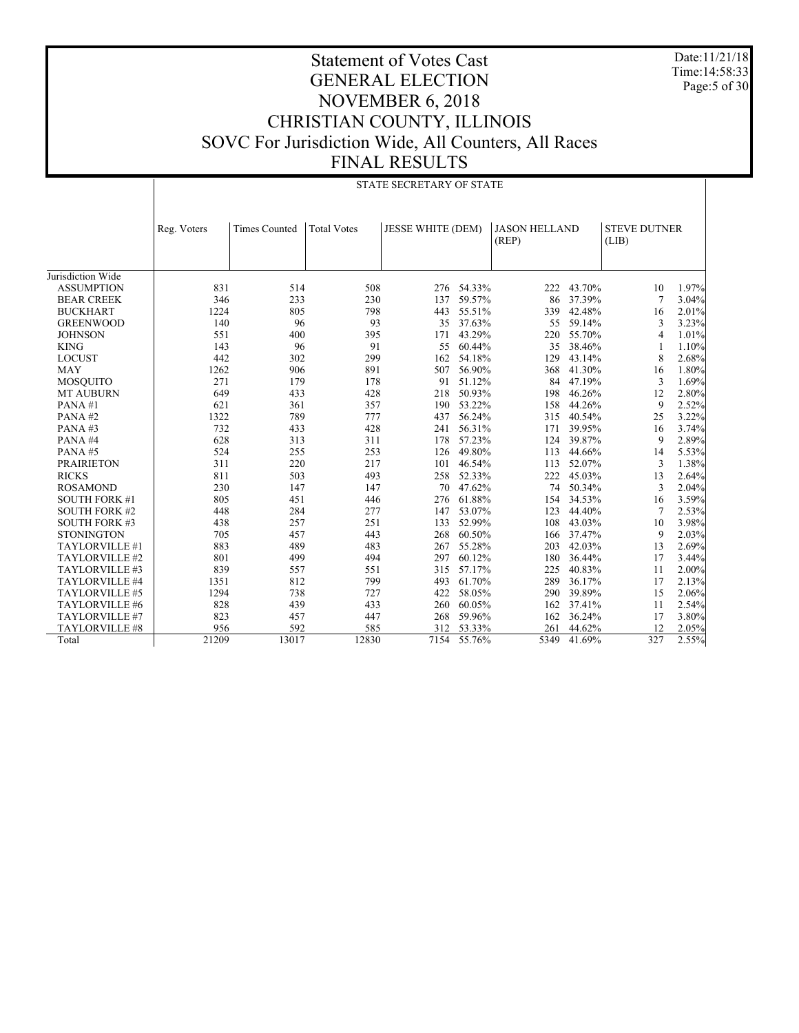Date:11/21/18 Time:14:58:33 Page: 5 of 30

|                      | STATE SECRETARY OF STATE |                      |                    |                          |            |                               |        |                              |       |
|----------------------|--------------------------|----------------------|--------------------|--------------------------|------------|-------------------------------|--------|------------------------------|-------|
|                      | Reg. Voters              | <b>Times Counted</b> | <b>Total Votes</b> | <b>JESSE WHITE (DEM)</b> |            | <b>JASON HELLAND</b><br>(REP) |        | <b>STEVE DUTNER</b><br>(LIB) |       |
| Jurisdiction Wide    |                          |                      |                    |                          |            |                               |        |                              |       |
| <b>ASSUMPTION</b>    | 831                      | 514                  | 508                |                          | 276 54.33% | 222                           | 43.70% | 10                           | 1.97% |
| <b>BEAR CREEK</b>    | 346                      | 233                  | 230                | 137                      | 59.57%     | 86                            | 37.39% | 7                            | 3.04% |
| <b>BUCKHART</b>      | 1224                     | 805                  | 798                | 443                      | 55.51%     | 339                           | 42.48% | 16                           | 2.01% |
| <b>GREENWOOD</b>     | 140                      | 96                   | 93                 | 35                       | 37.63%     | 55                            | 59.14% | 3                            | 3.23% |
| <b>JOHNSON</b>       | 551                      | 400                  | 395                | 171                      | 43.29%     | 220                           | 55.70% | 4                            | 1.01% |
| <b>KING</b>          | 143                      | 96                   | 91                 | 55                       | 60.44%     | 35                            | 38.46% |                              | 1.10% |
| <b>LOCUST</b>        | 442                      | 302                  | 299                | 162                      | 54.18%     | 129                           | 43.14% | 8                            | 2.68% |
| <b>MAY</b>           | 1262                     | 906                  | 891                | 507                      | 56.90%     | 368                           | 41.30% | 16                           | 1.80% |
| <b>MOSQUITO</b>      | 271                      | 179                  | 178                | 91                       | 51.12%     | 84                            | 47.19% | 3                            | 1.69% |
| <b>MT AUBURN</b>     | 649                      | 433                  | 428                | 218                      | 50.93%     | 198                           | 46.26% | 12                           | 2.80% |
| PANA#1               | 621                      | 361                  | 357                | 190                      | 53.22%     | 158                           | 44.26% | 9                            | 2.52% |
| PANA#2               | 1322                     | 789                  | 777                | 437                      | 56.24%     | 315                           | 40.54% | 25                           | 3.22% |
| PANA#3               | 732                      | 433                  | 428                | 241                      | 56.31%     | 171                           | 39.95% | 16                           | 3.74% |
| PANA#4               | 628                      | 313                  | 311                | 178                      | 57.23%     | 124                           | 39.87% | 9                            | 2.89% |
| PANA#5               | 524                      | 255                  | 253                | 126                      | 49.80%     | 113                           | 44.66% | 14                           | 5.53% |
| <b>PRAIRIETON</b>    | 311                      | 220                  | 217                | 101                      | 46.54%     | 113                           | 52.07% | 3                            | 1.38% |
|                      |                          |                      |                    |                          |            |                               |        |                              |       |
| <b>RICKS</b>         | 811                      | 503                  | 493                | 258                      | 52.33%     | 222                           | 45.03% | 13                           | 2.64% |
| <b>ROSAMOND</b>      | 230                      | 147                  | 147                | 70                       | 47.62%     | 74                            | 50.34% | 3                            | 2.04% |
| <b>SOUTH FORK #1</b> | 805                      | 451                  | 446                | 276                      | 61.88%     | 154                           | 34.53% | 16                           | 3.59% |
| <b>SOUTH FORK #2</b> | 448                      | 284                  | 277                | 147                      | 53.07%     | 123                           | 44.40% | 7                            | 2.53% |
| <b>SOUTH FORK #3</b> | 438                      | 257                  | 251                | 133                      | 52.99%     | 108                           | 43.03% | 10                           | 3.98% |
| <b>STONINGTON</b>    | 705                      | 457                  | 443                | 268                      | 60.50%     | 166                           | 37.47% | 9                            | 2.03% |
| TAYLORVILLE #1       | 883                      | 489                  | 483                | 267                      | 55.28%     | 203                           | 42.03% | 13                           | 2.69% |
| TAYLORVILLE #2       | 801                      | 499                  | 494                | 297                      | 60.12%     | 180                           | 36.44% | 17                           | 3.44% |
| TAYLORVILLE #3       | 839                      | 557                  | 551                | 315                      | 57.17%     | 225                           | 40.83% | 11                           | 2.00% |
| TAYLORVILLE #4       | 1351                     | 812                  | 799                | 493                      | 61.70%     | 289                           | 36.17% | 17                           | 2.13% |
| TAYLORVILLE #5       | 1294                     | 738                  | 727                | 422                      | 58.05%     | 290                           | 39.89% | 15                           | 2.06% |
| TAYLORVILLE #6       | 828                      | 439                  | 433                | 260                      | 60.05%     | 162                           | 37.41% | 11                           | 2.54% |
| TAYLORVILLE #7       | 823                      | 457                  | 447                | 268                      | 59.96%     | 162                           | 36.24% | 17                           | 3.80% |
| TAYLORVILLE #8       | 956                      | 592                  | 585                | 312                      | 53.33%     | 261                           | 44.62% | 12                           | 2.05% |
| Total                | 21209                    | 13017                | 12830              | 7154                     | 55.76%     | 5349                          | 41.69% | 327                          | 2.55% |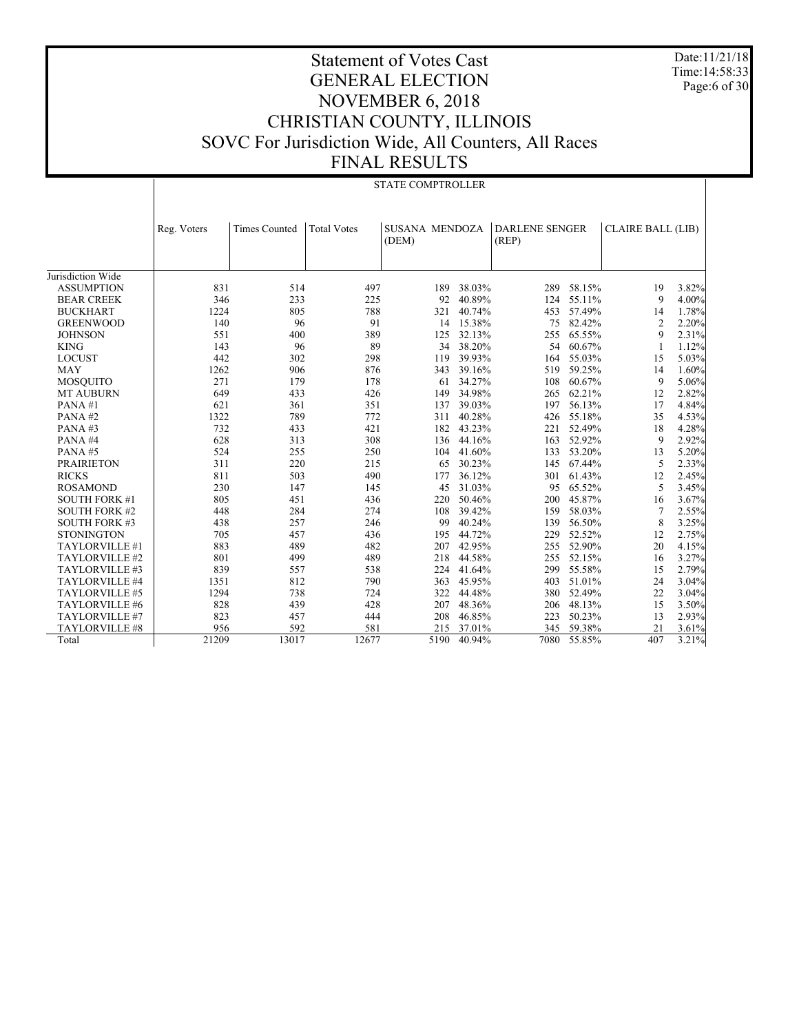Date:11/21/18 Time:14:58:33 Page:6 of 30

|                      | <b>STATE COMPTROLLER</b> |                      |                    |                         |        |                                |        |                          |       |  |
|----------------------|--------------------------|----------------------|--------------------|-------------------------|--------|--------------------------------|--------|--------------------------|-------|--|
|                      | Reg. Voters              | <b>Times Counted</b> | <b>Total Votes</b> | SUSANA MENDOZA<br>(DEM) |        | <b>DARLENE SENGER</b><br>(REP) |        | <b>CLAIRE BALL (LIB)</b> |       |  |
| Jurisdiction Wide    |                          |                      |                    |                         |        |                                |        |                          |       |  |
| <b>ASSUMPTION</b>    | 831                      | 514                  | 497                | 189                     | 38.03% | 289                            | 58.15% | 19                       | 3.82% |  |
| <b>BEAR CREEK</b>    | 346                      | 233                  | 225                | 92                      | 40.89% | 124                            | 55.11% | 9                        | 4.00% |  |
| <b>BUCKHART</b>      | 1224                     | 805                  | 788                | 321                     | 40.74% | 453                            | 57.49% | 14                       | 1.78% |  |
| <b>GREENWOOD</b>     | 140                      | 96                   | 91                 | 14                      | 15.38% | 75                             | 82.42% | $\overline{c}$           | 2.20% |  |
| <b>JOHNSON</b>       | 551                      | 400                  | 389                | 125                     | 32.13% | 255                            | 65.55% | 9                        | 2.31% |  |
| <b>KING</b>          | 143                      | 96                   | 89                 | 34                      | 38.20% | 54                             | 60.67% | 1                        | 1.12% |  |
| <b>LOCUST</b>        | 442                      | 302                  | 298                | 119                     | 39.93% | 164                            | 55.03% | 15                       | 5.03% |  |
| <b>MAY</b>           | 1262                     | 906                  | 876                | 343                     | 39.16% | 519                            | 59.25% | 14                       | 1.60% |  |
| <b>MOSQUITO</b>      | 271                      | 179                  | 178                | 61                      | 34.27% | 108                            | 60.67% | 9                        | 5.06% |  |
| <b>MT AUBURN</b>     | 649                      | 433                  | 426                | 149                     | 34.98% | 265                            | 62.21% | 12                       | 2.82% |  |
| PANA#1               | 621                      | 361                  | 351                | 137                     | 39.03% | 197                            | 56.13% | 17                       | 4.84% |  |
| PANA#2               | 1322                     | 789                  | 772                | 311                     | 40.28% | 426                            | 55.18% | 35                       | 4.53% |  |
| PANA#3               | 732                      | 433                  | 421                | 182                     | 43.23% | 221                            | 52.49% | 18                       | 4.28% |  |
| PANA#4               | 628                      | 313                  | 308                | 136                     | 44.16% | 163                            | 52.92% | 9                        | 2.92% |  |
| PANA#5               | 524                      | 255                  | 250                | 104                     | 41.60% | 133                            | 53.20% | 13                       | 5.20% |  |
| <b>PRAIRIETON</b>    | 311                      | 220                  | 215                | 65                      | 30.23% | 145                            | 67.44% | 5                        | 2.33% |  |
| <b>RICKS</b>         | 811                      | 503                  | 490                | 177                     | 36.12% | 301                            | 61.43% | 12                       | 2.45% |  |
| <b>ROSAMOND</b>      | 230                      | 147                  | 145                | 45                      | 31.03% | 95                             | 65.52% | 5                        | 3.45% |  |
| <b>SOUTH FORK #1</b> | 805                      | 451                  | 436                | 220                     | 50.46% | 200                            | 45.87% | 16                       | 3.67% |  |
| <b>SOUTH FORK #2</b> | 448                      | 284                  | 274                | 108                     | 39.42% | 159                            | 58.03% | 7                        | 2.55% |  |
| <b>SOUTH FORK #3</b> | 438                      | 257                  | 246                | 99                      | 40.24% | 139                            | 56.50% | 8                        | 3.25% |  |
| <b>STONINGTON</b>    | 705                      | 457                  | 436                | 195                     | 44.72% | 229                            | 52.52% | 12                       | 2.75% |  |
| TAYLORVILLE #1       | 883                      | 489                  | 482                | 207                     | 42.95% | 255                            | 52.90% | 20                       | 4.15% |  |
| TAYLORVILLE #2       | 801                      | 499                  | 489                | 218                     | 44.58% | 255                            | 52.15% | 16                       | 3.27% |  |
| TAYLORVILLE #3       | 839                      | 557                  | 538                | 224                     | 41.64% | 299                            | 55.58% | 15                       | 2.79% |  |
| TAYLORVILLE #4       | 1351                     | 812                  | 790                | 363                     | 45.95% | 403                            | 51.01% | 24                       | 3.04% |  |
| TAYLORVILLE #5       | 1294                     | 738                  | 724                | 322                     | 44.48% | 380                            | 52.49% | 22                       | 3.04% |  |
| TAYLORVILLE #6       | 828                      | 439                  | 428                | 207                     | 48.36% | 206                            | 48.13% | 15                       | 3.50% |  |
| TAYLORVILLE #7       | 823                      | 457                  | 444                | 208                     | 46.85% | 223                            | 50.23% | 13                       | 2.93% |  |
| TAYLORVILLE #8       | 956                      | 592                  | 581                | 215                     | 37.01% | 345                            | 59.38% | 21                       | 3.61% |  |
| Total                | 21209                    | 13017                | 12677              | 5190                    | 40.94% | 7080                           | 55.85% | 407                      | 3.21% |  |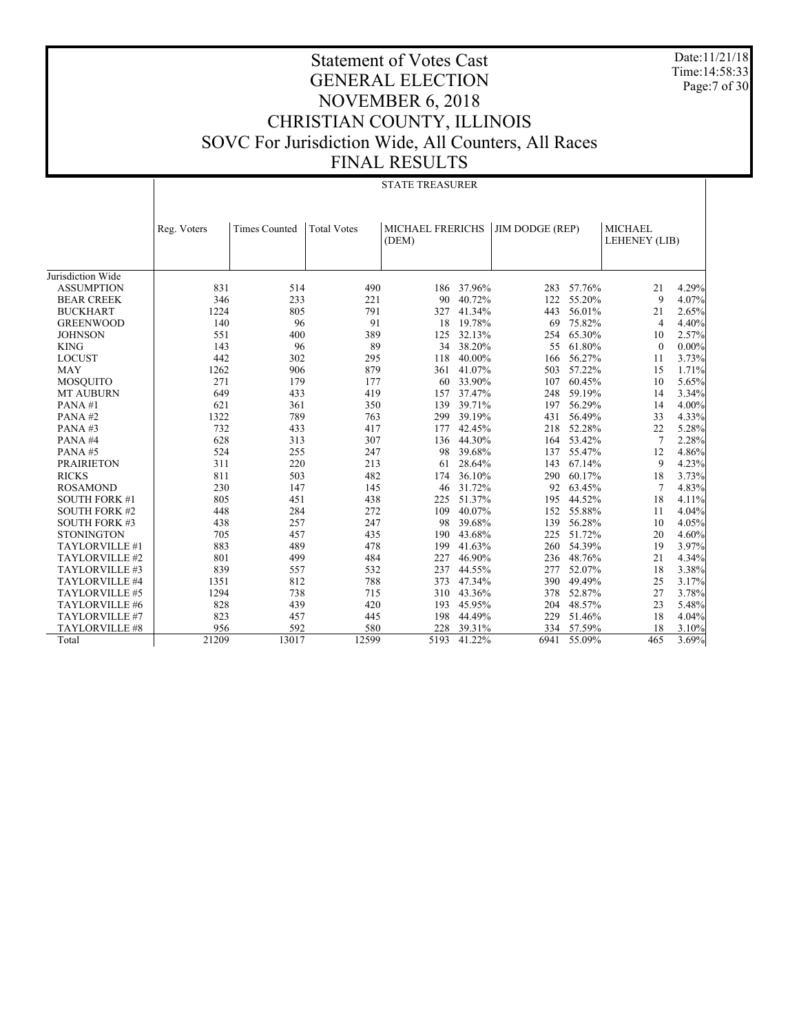Date:11/21/18 Time:14:58:33 Page:7 of 30

|                      | <b>STATE TREASURER</b> |                      |                    |                         |           |                        |            |                |          |  |
|----------------------|------------------------|----------------------|--------------------|-------------------------|-----------|------------------------|------------|----------------|----------|--|
|                      |                        |                      |                    |                         |           |                        |            |                |          |  |
|                      |                        |                      |                    |                         |           |                        |            |                |          |  |
|                      | Reg. Voters            | <b>Times Counted</b> | <b>Total Votes</b> | <b>MICHAEL FRERICHS</b> |           | <b>JIM DODGE (REP)</b> |            | <b>MICHAEL</b> |          |  |
|                      |                        |                      |                    | (DEM)                   |           |                        |            | LEHENEY (LIB)  |          |  |
|                      |                        |                      |                    |                         |           |                        |            |                |          |  |
|                      |                        |                      |                    |                         |           |                        |            |                |          |  |
| Jurisdiction Wide    |                        |                      |                    |                         |           |                        |            |                |          |  |
| <b>ASSUMPTION</b>    | 831                    | 514                  | 490                | 186                     | 37.96%    | 283                    | 57.76%     | 21             | 4.29%    |  |
| <b>BEAR CREEK</b>    | 346                    | 233                  | 221                | 90                      | 40.72%    | 122                    | 55.20%     | 9              | 4.07%    |  |
| <b>BUCKHART</b>      | 1224                   | 805                  | 791                | 327                     | 41.34%    | 443                    | 56.01%     | 21             | 2.65%    |  |
| <b>GREENWOOD</b>     | 140                    | 96                   | 91                 |                         | 18 19.78% | 69                     | 75.82%     | 4              | 4.40%    |  |
| <b>JOHNSON</b>       | 551                    | 400                  | 389                | 125                     | 32.13%    | 254                    | 65.30%     | 10             | 2.57%    |  |
| <b>KING</b>          | 143                    | 96                   | 89                 | 34                      | 38.20%    | 55                     | 61.80%     | $\mathbf{0}$   | $0.00\%$ |  |
| <b>LOCUST</b>        | 442                    | 302                  | 295                | 118                     | 40.00%    | 166                    | 56.27%     | 11             | 3.73%    |  |
| <b>MAY</b>           | 1262                   | 906                  | 879                | 361                     | 41.07%    | 503                    | 57.22%     | 15             | 1.71%    |  |
| <b>MOSQUITO</b>      | 271                    | 179                  | 177                | 60                      | 33.90%    | 107                    | 60.45%     | 10             | 5.65%    |  |
| <b>MT AUBURN</b>     | 649                    | 433                  | 419                | 157                     | 37.47%    | 248                    | 59.19%     | 14             | 3.34%    |  |
| PANA#1               | 621                    | 361                  | 350                | 139                     | 39.71%    | 197                    | 56.29%     | 14             | 4.00%    |  |
| PANA#2               | 1322                   | 789                  | 763                | 299                     | 39.19%    | 431                    | 56.49%     | 33             | 4.33%    |  |
| PANA#3               | 732                    | 433                  | 417                | 177                     | 42.45%    | 218                    | 52.28%     | 22             | 5.28%    |  |
| PANA#4               | 628                    | 313                  | 307                | 136                     | 44.30%    | 164                    | 53.42%     | $\overline{7}$ | 2.28%    |  |
| PANA#5               | 524                    | 255                  | 247                | 98                      | 39.68%    | 137                    | 55.47%     | 12             | 4.86%    |  |
| <b>PRAIRIETON</b>    | 311                    | 220                  | 213                | 61                      | 28.64%    | 143                    | 67.14%     | 9              | 4.23%    |  |
| <b>RICKS</b>         | 811                    | 503                  | 482                | 174                     | 36.10%    | 290                    | 60.17%     | 18             | 3.73%    |  |
| <b>ROSAMOND</b>      | 230                    | 147                  | 145                | 46                      | 31.72%    | 92                     | 63.45%     | 7              | 4.83%    |  |
| <b>SOUTH FORK #1</b> | 805                    | 451                  | 438                | 225                     | 51.37%    | 195                    | 44.52%     | 18             | 4.11%    |  |
| <b>SOUTH FORK #2</b> | 448                    | 284                  | 272                | 109                     | 40.07%    | 152                    | 55.88%     | 11             | 4.04%    |  |
| <b>SOUTH FORK #3</b> | 438                    | 257                  | 247                | 98                      | 39.68%    | 139                    | 56.28%     | 10             | 4.05%    |  |
| <b>STONINGTON</b>    | 705                    | 457                  | 435                | 190                     | 43.68%    | 225                    | 51.72%     | 20             | 4.60%    |  |
| TAYLORVILLE #1       | 883                    | 489                  | 478                | 199                     | 41.63%    | 260                    | 54.39%     | 19             | 3.97%    |  |
| TAYLORVILLE #2       | 801                    | 499                  | 484                | 227                     | 46.90%    |                        | 236 48.76% | 21             | 4.34%    |  |
| TAYLORVILLE #3       | 839                    | 557                  | 532                | 237                     | 44.55%    | 277                    | 52.07%     | 18             | 3.38%    |  |
| TAYLORVILLE #4       | 1351                   | 812                  | 788                | 373                     | 47.34%    | 390                    | 49.49%     | 25             | 3.17%    |  |
| TAYLORVILLE #5       | 1294                   | 738                  | 715                | 310                     | 43.36%    | 378                    | 52.87%     | 27             | 3.78%    |  |
| TAYLORVILLE #6       | 828                    | 439                  | 420                | 193                     | 45.95%    | 204                    | 48.57%     | 23             | 5.48%    |  |
| TAYLORVILLE #7       | 823                    | 457                  | 445                | 198                     | 44.49%    | 229                    | 51.46%     | 18             | 4.04%    |  |
| TAYLORVILLE #8       | 956                    | 592                  | 580                | 228                     | 39.31%    |                        | 334 57.59% | 18             | 3.10%    |  |
| Total                | 21209                  | 13017                | 12599              | 5193                    | 41.22%    | 6941                   | 55.09%     | 465            | 3.69%    |  |
|                      |                        |                      |                    |                         |           |                        |            |                |          |  |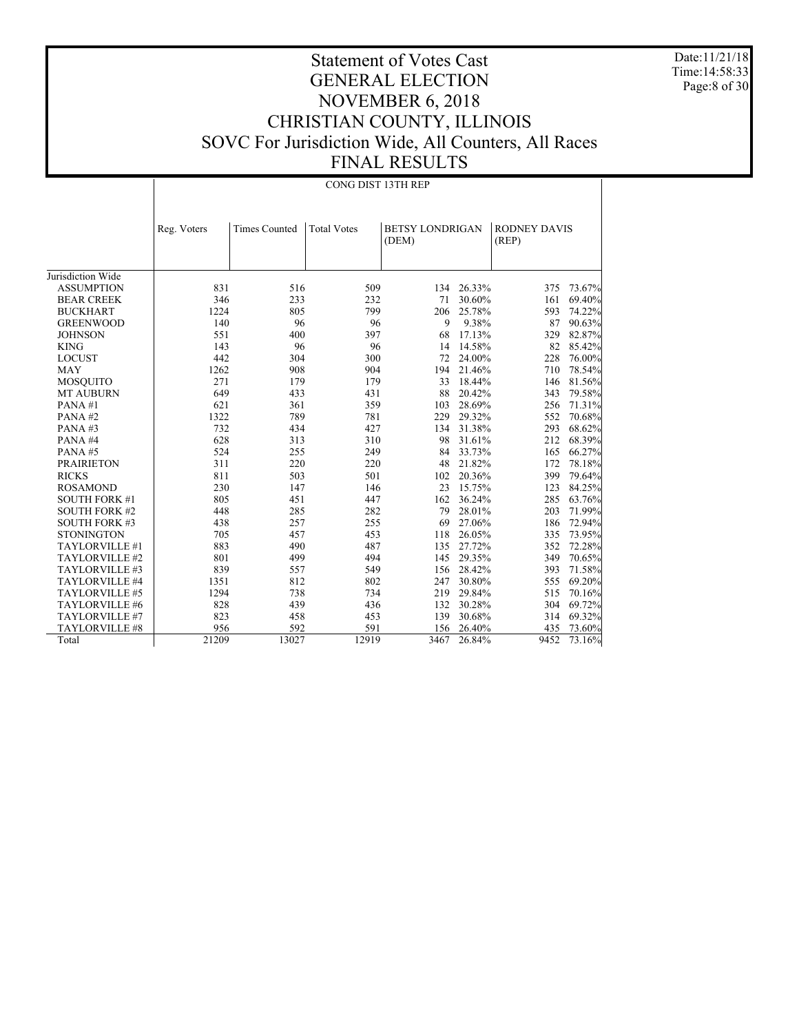Date:11/21/18 Time:14:58:33 Page:8 of 30

|                      |             | CONG DIST 13TH REP   |                    |                                 |            |                              |        |  |  |  |  |
|----------------------|-------------|----------------------|--------------------|---------------------------------|------------|------------------------------|--------|--|--|--|--|
|                      | Reg. Voters | <b>Times Counted</b> | <b>Total Votes</b> | <b>BETSY LONDRIGAN</b><br>(DEM) |            | <b>RODNEY DAVIS</b><br>(REP) |        |  |  |  |  |
| Jurisdiction Wide    |             |                      |                    |                                 |            |                              |        |  |  |  |  |
| <b>ASSUMPTION</b>    | 831         | 516                  | 509                |                                 | 134 26.33% | 375                          | 73.67% |  |  |  |  |
| <b>BEAR CREEK</b>    | 346         | 233                  | 232                | 71                              | 30.60%     | 161                          | 69.40% |  |  |  |  |
| <b>BUCKHART</b>      | 1224        | 805                  | 799                | 206                             | 25.78%     | 593                          | 74.22% |  |  |  |  |
| <b>GREENWOOD</b>     | 140         | 96                   | 96                 | 9                               | 9.38%      | 87                           | 90.63% |  |  |  |  |
| <b>JOHNSON</b>       | 551         | 400                  | 397                | 68                              | 17.13%     | 329                          | 82.87% |  |  |  |  |
| <b>KING</b>          | 143         | 96                   | 96                 | 14                              | 14.58%     | 82                           | 85.42% |  |  |  |  |
| <b>LOCUST</b>        | 442         | 304                  | 300                | 72                              | 24.00%     | 228                          | 76.00% |  |  |  |  |
| <b>MAY</b>           | 1262        | 908                  | 904                | 194                             | 21.46%     | 710                          | 78.54% |  |  |  |  |
| <b>MOSQUITO</b>      | 271         | 179                  | 179                | 33                              | 18.44%     | 146                          | 81.56% |  |  |  |  |
| <b>MT AUBURN</b>     | 649         | 433                  | 431                | 88                              | 20.42%     | 343                          | 79.58% |  |  |  |  |
| PANA#1               | 621         | 361                  | 359                | 103                             | 28.69%     | 256                          | 71.31% |  |  |  |  |
| PANA#2               | 1322        | 789                  | 781                | 229                             | 29.32%     | 552                          | 70.68% |  |  |  |  |
| PANA#3               | 732         | 434                  | 427                | 134                             | 31.38%     | 293                          | 68.62% |  |  |  |  |
| PANA#4               | 628         | 313                  | 310                | 98                              | 31.61%     | 212                          | 68.39% |  |  |  |  |
| PANA#5               | 524         | 255                  | 249                | 84                              | 33.73%     | 165                          | 66.27% |  |  |  |  |
| <b>PRAIRIETON</b>    | 311         | 220                  | 220                | 48                              | 21.82%     | 172                          | 78.18% |  |  |  |  |
| <b>RICKS</b>         | 811         | 503                  | 501                |                                 | 102 20.36% | 399                          | 79.64% |  |  |  |  |
| <b>ROSAMOND</b>      | 230         | 147                  | 146                | 23                              | 15.75%     | 123                          | 84.25% |  |  |  |  |
| <b>SOUTH FORK #1</b> | 805         | 451                  | 447                |                                 | 162 36.24% | 285                          | 63.76% |  |  |  |  |
| <b>SOUTH FORK #2</b> | 448         | 285                  | 282                | 79                              | 28.01%     | 203                          | 71.99% |  |  |  |  |
| <b>SOUTH FORK #3</b> | 438         | 257                  | 255                | 69                              | 27.06%     | 186                          | 72.94% |  |  |  |  |
| <b>STONINGTON</b>    | 705         | 457                  | 453                | 118                             | 26.05%     | 335                          | 73.95% |  |  |  |  |
| TAYLORVILLE #1       | 883         | 490                  | 487                | 135                             | 27.72%     | 352                          | 72.28% |  |  |  |  |
| TAYLORVILLE #2       | 801         | 499                  | 494                |                                 | 145 29.35% | 349                          | 70.65% |  |  |  |  |
| TAYLORVILLE #3       | 839         | 557                  | 549                |                                 | 156 28.42% | 393                          | 71.58% |  |  |  |  |
| TAYLORVILLE #4       | 1351        | 812                  | 802                | 247                             | 30.80%     | 555                          | 69.20% |  |  |  |  |
| TAYLORVILLE #5       | 1294        | 738                  | 734                | 219                             | 29.84%     | 515                          | 70.16% |  |  |  |  |
| TAYLORVILLE #6       | 828         | 439                  | 436                | 132                             | 30.28%     | 304                          | 69.72% |  |  |  |  |
| TAYLORVILLE #7       | 823         | 458                  | 453                | 139                             | 30.68%     | 314                          | 69.32% |  |  |  |  |
| TAYLORVILLE #8       | 956         | 592                  | 591                | 156                             | 26.40%     | 435                          | 73.60% |  |  |  |  |
| Total                | 21209       | 13027                | 12919              | 3467                            | 26.84%     | 9452                         | 73.16% |  |  |  |  |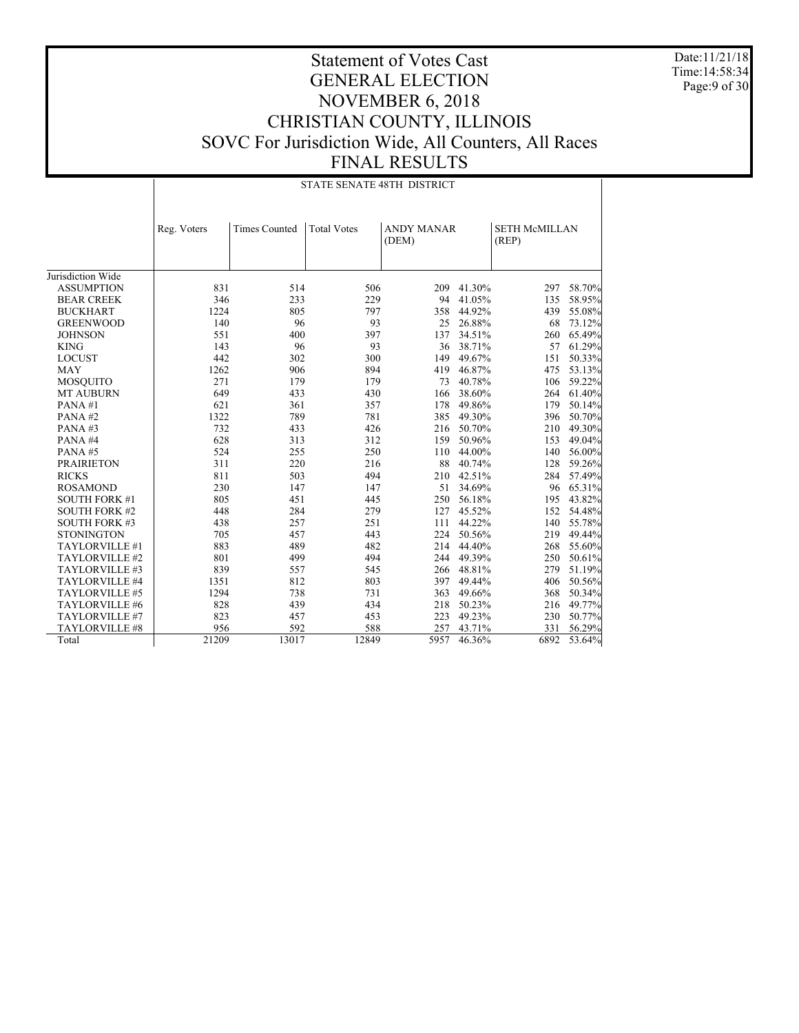Date:11/21/18 Time:14:58:34 Page:9 of 30

|                      |             | <b>STATE SENATE 48TH DISTRICT</b> |                    |                            |            |                               |            |  |  |  |  |
|----------------------|-------------|-----------------------------------|--------------------|----------------------------|------------|-------------------------------|------------|--|--|--|--|
|                      | Reg. Voters | <b>Times Counted</b>              | <b>Total Votes</b> | <b>ANDY MANAR</b><br>(DEM) |            | <b>SETH McMILLAN</b><br>(REP) |            |  |  |  |  |
| Jurisdiction Wide    |             |                                   |                    |                            |            |                               |            |  |  |  |  |
| <b>ASSUMPTION</b>    | 831         | 514                               | 506                | 209                        | 41.30%     | 297                           | 58.70%     |  |  |  |  |
| <b>BEAR CREEK</b>    | 346         | 233                               | 229                | 94                         | 41.05%     | 135                           | 58.95%     |  |  |  |  |
| <b>BUCKHART</b>      | 1224        | 805                               | 797                | 358                        | 44.92%     | 439                           | 55.08%     |  |  |  |  |
| <b>GREENWOOD</b>     | 140         | 96                                | 93                 | 25                         | 26.88%     | 68                            | 73.12%     |  |  |  |  |
| <b>JOHNSON</b>       | 551         | 400                               | 397                | 137                        | 34.51%     | 260                           | 65.49%     |  |  |  |  |
| <b>KING</b>          | 143         | 96                                | 93                 | 36                         | 38.71%     | 57                            | 61.29%     |  |  |  |  |
| <b>LOCUST</b>        | 442         | 302                               | 300                | 149                        | 49.67%     | 151                           | 50.33%     |  |  |  |  |
| <b>MAY</b>           | 1262        | 906                               | 894                | 419                        | 46.87%     | 475                           | 53.13%     |  |  |  |  |
| <b>MOSQUITO</b>      | 271         | 179                               | 179                | 73                         | 40.78%     | 106                           | 59.22%     |  |  |  |  |
| <b>MT AUBURN</b>     | 649         | 433                               | 430                | 166                        | 38.60%     | 264                           | 61.40%     |  |  |  |  |
| PANA#1               | 621         | 361                               | 357                | 178                        | 49.86%     | 179                           | 50.14%     |  |  |  |  |
| PANA#2               | 1322        | 789                               | 781                | 385                        | 49.30%     | 396                           | 50.70%     |  |  |  |  |
| PANA#3               | 732         | 433                               | 426                |                            | 216 50.70% | 210                           | 49.30%     |  |  |  |  |
| PANA#4               | 628         | 313                               | 312                | 159                        | 50.96%     | 153                           | 49.04%     |  |  |  |  |
| PANA#5               | 524         | 255                               | 250                |                            | 110 44.00% | 140                           | 56.00%     |  |  |  |  |
| <b>PRAIRIETON</b>    | 311         | 220                               | 216                |                            | 88 40.74%  | 128                           | 59.26%     |  |  |  |  |
| <b>RICKS</b>         | 811         | 503                               | 494                | 210                        | 42.51%     | 284                           | 57.49%     |  |  |  |  |
| <b>ROSAMOND</b>      | 230         | 147                               | 147                |                            | 51 34.69%  | 96                            | 65.31%     |  |  |  |  |
| <b>SOUTH FORK #1</b> | 805         | 451                               | 445                | 250                        | 56.18%     | 195                           | 43.82%     |  |  |  |  |
| <b>SOUTH FORK #2</b> | 448         | 284                               | 279                | 127                        | 45.52%     | 152                           | 54.48%     |  |  |  |  |
| <b>SOUTH FORK #3</b> | 438         | 257                               | 251                | 111                        | 44.22%     | 140                           | 55.78%     |  |  |  |  |
| <b>STONINGTON</b>    | 705         | 457                               | 443                | 224                        | 50.56%     | 219                           | 49.44%     |  |  |  |  |
| TAYLORVILLE #1       | 883         | 489                               | 482                | 214                        | 44.40%     | 268                           | 55.60%     |  |  |  |  |
| TAYLORVILLE #2       | 801         | 499                               | 494                | 244                        | 49.39%     |                               | 250 50.61% |  |  |  |  |
| TAYLORVILLE #3       | 839         | 557                               | 545                |                            | 266 48.81% | 279                           | 51.19%     |  |  |  |  |
| TAYLORVILLE #4       | 1351        | 812                               | 803                | 397                        | 49.44%     | 406                           | 50.56%     |  |  |  |  |
| TAYLORVILLE #5       | 1294        | 738                               | 731                | 363                        | 49.66%     | 368                           | 50.34%     |  |  |  |  |
| TAYLORVILLE #6       | 828         | 439                               | 434                | 218                        | 50.23%     | 216                           | 49.77%     |  |  |  |  |
| TAYLORVILLE #7       | 823         | 457                               | 453                | 223                        | 49.23%     | 230                           | 50.77%     |  |  |  |  |
| TAYLORVILLE #8       | 956         | 592                               | 588                | 257                        | 43.71%     | 331                           | 56.29%     |  |  |  |  |
| Total                | 21209       | 13017                             | 12849              | 5957                       | 46.36%     | 6892                          | 53.64%     |  |  |  |  |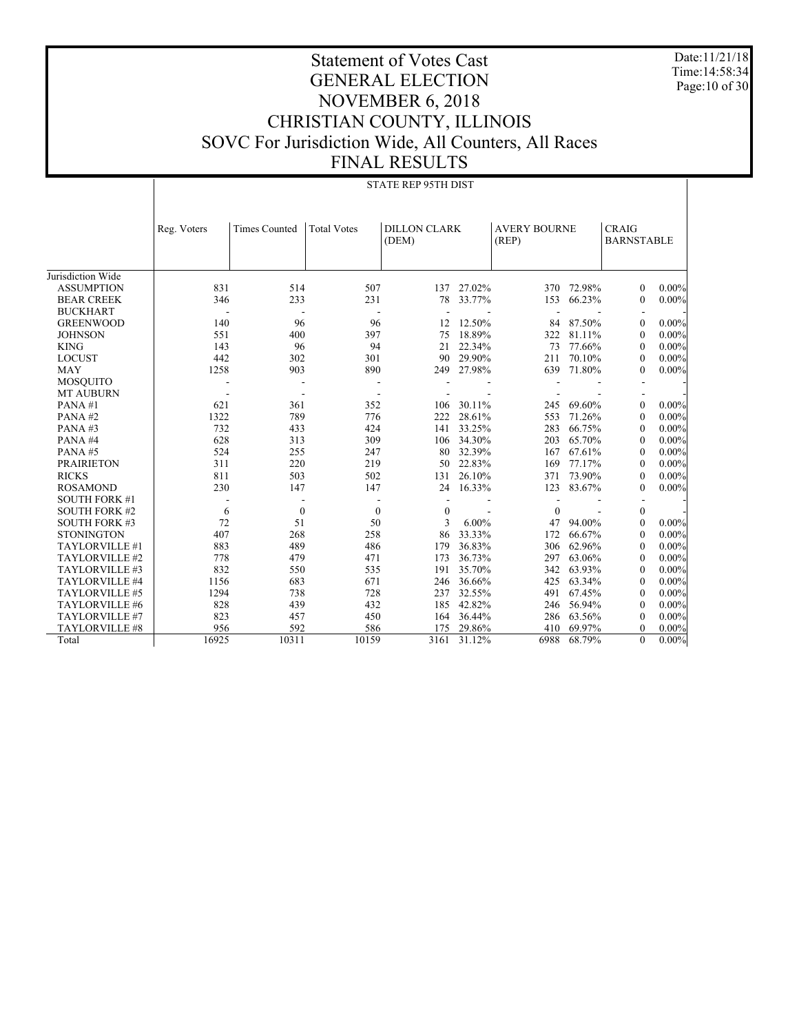Date:11/21/18 Time:14:58:34 Page:10 of 30

|                      | <b>STATE REP 95TH DIST</b> |                          |                    |                              |        |                              |            |                                   |          |  |
|----------------------|----------------------------|--------------------------|--------------------|------------------------------|--------|------------------------------|------------|-----------------------------------|----------|--|
|                      | Reg. Voters                | <b>Times Counted</b>     | <b>Total Votes</b> | <b>DILLON CLARK</b><br>(DEM) |        | <b>AVERY BOURNE</b><br>(REP) |            | <b>CRAIG</b><br><b>BARNSTABLE</b> |          |  |
| Jurisdiction Wide    |                            |                          |                    |                              |        |                              |            |                                   |          |  |
| <b>ASSUMPTION</b>    | 831                        | 514                      | 507                | 137                          | 27.02% |                              | 370 72.98% | $\theta$                          | $0.00\%$ |  |
| <b>BEAR CREEK</b>    | 346                        | 233                      | 231                | 78                           | 33.77% | 153                          | 66.23%     | $\mathbf{0}$                      | $0.00\%$ |  |
| <b>BUCKHART</b>      |                            |                          |                    |                              |        |                              |            |                                   |          |  |
| <b>GREENWOOD</b>     | 140                        | 96                       | 96                 | 12                           | 12.50% | 84                           | 87.50%     | $\theta$                          | $0.00\%$ |  |
| <b>JOHNSON</b>       | 551                        | 400                      | 397                | 75                           | 18.89% | 322                          | 81.11%     | $\boldsymbol{0}$                  | $0.00\%$ |  |
| <b>KING</b>          | 143                        | 96                       | 94                 | 21                           | 22.34% | 73                           | 77.66%     | $\mathbf{0}$                      | $0.00\%$ |  |
| <b>LOCUST</b>        | 442                        | 302                      | 301                | 90                           | 29.90% | 211                          | 70.10%     | $\theta$                          | $0.00\%$ |  |
| <b>MAY</b>           | 1258                       | 903                      | 890                | 249                          | 27.98% | 639                          | 71.80%     | $\theta$                          | $0.00\%$ |  |
| <b>MOSQUITO</b>      |                            |                          |                    |                              |        |                              |            |                                   |          |  |
| <b>MT AUBURN</b>     |                            | $\overline{\phantom{a}}$ |                    |                              |        |                              |            |                                   |          |  |
| PANA#1               | 621                        | 361                      | 352                | 106                          | 30.11% | 245                          | 69.60%     | $\mathbf{0}$                      | $0.00\%$ |  |
| PANA#2               | 1322                       | 789                      | 776                | 222                          | 28.61% | 553                          | 71.26%     | $\theta$                          | $0.00\%$ |  |
| PANA#3               | 732                        | 433                      | 424                | 141                          | 33.25% | 283                          | 66.75%     | $\boldsymbol{0}$                  | $0.00\%$ |  |
| PANA#4               | 628                        | 313                      | 309                | 106                          | 34.30% | 203                          | 65.70%     | $\mathbf{0}$                      | $0.00\%$ |  |
| PANA#5               | 524                        | 255                      | 247                | 80                           | 32.39% | 167                          | 67.61%     | $\mathbf{0}$                      | $0.00\%$ |  |
| <b>PRAIRIETON</b>    | 311                        | 220                      | 219                | 50                           | 22.83% | 169                          | 77.17%     | $\mathbf{0}$                      | $0.00\%$ |  |
| <b>RICKS</b>         | 811                        | 503                      | 502                | 131                          | 26.10% | 371                          | 73.90%     | $\theta$                          | $0.00\%$ |  |
| <b>ROSAMOND</b>      | 230                        | 147                      | 147                | 24                           | 16.33% | 123                          | 83.67%     | $\theta$                          | $0.00\%$ |  |
| <b>SOUTH FORK #1</b> |                            |                          |                    |                              |        |                              |            |                                   |          |  |
| <b>SOUTH FORK #2</b> | 6                          | $\boldsymbol{0}$         | $\mathbf{0}$       | $\boldsymbol{0}$             |        | $\Omega$                     |            | $\boldsymbol{0}$                  |          |  |
| <b>SOUTH FORK #3</b> | 72                         | 51                       | 50                 | 3                            | 6.00%  | 47                           | 94.00%     | $\mathbf{0}$                      | $0.00\%$ |  |
| <b>STONINGTON</b>    | 407                        | 268                      | 258                | 86                           | 33.33% | 172                          | 66.67%     | $\mathbf{0}$                      | $0.00\%$ |  |
| TAYLORVILLE #1       | 883                        | 489                      | 486                | 179                          | 36.83% | 306                          | 62.96%     | $\mathbf{0}$                      | $0.00\%$ |  |
| TAYLORVILLE #2       | 778                        | 479                      | 471                | 173                          | 36.73% | 297                          | 63.06%     | $\mathbf{0}$                      | $0.00\%$ |  |
| TAYLORVILLE #3       | 832                        | 550                      | 535                | 191                          | 35.70% | 342                          | 63.93%     | $\mathbf{0}$                      | $0.00\%$ |  |
| TAYLORVILLE #4       | 1156                       | 683                      | 671                | 246                          | 36.66% | 425                          | 63.34%     | $\mathbf{0}$                      | $0.00\%$ |  |
| TAYLORVILLE #5       | 1294                       | 738                      | 728                | 237                          | 32.55% | 491                          | 67.45%     | $\mathbf{0}$                      | $0.00\%$ |  |
| TAYLORVILLE #6       | 828                        | 439                      | 432                | 185                          | 42.82% | 246                          | 56.94%     | $\mathbf{0}$                      | $0.00\%$ |  |
| TAYLORVILLE #7       | 823                        | 457                      | 450                | 164                          | 36.44% | 286                          | 63.56%     | $\theta$                          | $0.00\%$ |  |
| TAYLORVILLE #8       | 956                        | 592                      | 586                | 175                          | 29.86% | 410                          | 69.97%     | $\mathbf{0}$                      | $0.00\%$ |  |
| Total                | 16925                      | 10311                    | 10159              | 3161                         | 31.12% | 6988                         | 68.79%     | $\theta$                          | $0.00\%$ |  |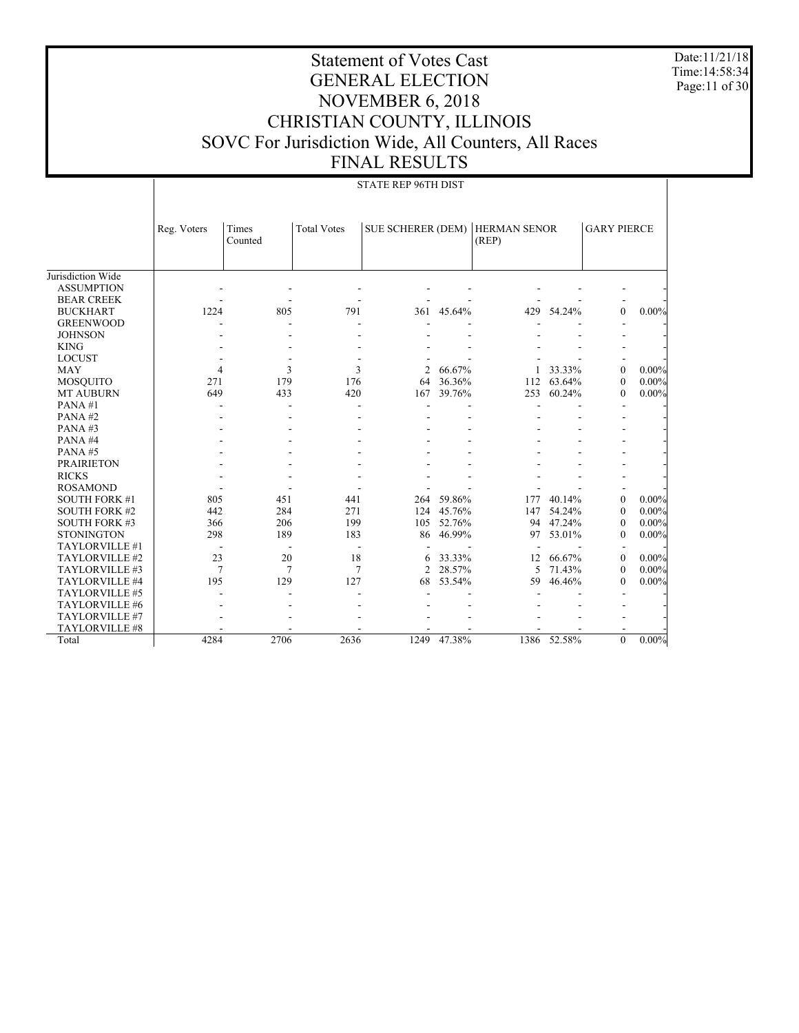Date:11/21/18 Time:14:58:34 Page:11 of 30

|                      | <b>STATE REP 96TH DIST</b> |                  |                    |                          |        |                              |        |                    |          |  |
|----------------------|----------------------------|------------------|--------------------|--------------------------|--------|------------------------------|--------|--------------------|----------|--|
|                      | Reg. Voters                | Times<br>Counted | <b>Total Votes</b> | <b>SUE SCHERER (DEM)</b> |        | <b>HERMAN SENOR</b><br>(REP) |        | <b>GARY PIERCE</b> |          |  |
| Jurisdiction Wide    |                            |                  |                    |                          |        |                              |        |                    |          |  |
| <b>ASSUMPTION</b>    |                            |                  |                    |                          |        |                              |        |                    |          |  |
| <b>BEAR CREEK</b>    |                            |                  |                    |                          |        |                              |        |                    |          |  |
| <b>BUCKHART</b>      | 1224                       | 805              | 791                | 361                      | 45.64% | 429                          | 54.24% | $\theta$           | $0.00\%$ |  |
| <b>GREENWOOD</b>     |                            |                  |                    |                          |        |                              |        |                    |          |  |
| <b>JOHNSON</b>       |                            |                  |                    |                          |        |                              |        |                    |          |  |
| <b>KING</b>          |                            |                  |                    |                          |        |                              |        |                    |          |  |
| <b>LOCUST</b>        |                            |                  |                    |                          |        |                              |        |                    |          |  |
| <b>MAY</b>           | $\overline{4}$             | 3                | 3                  | $\overline{c}$           | 66.67% |                              | 33.33% | $\theta$           | $0.00\%$ |  |
|                      | 271                        | 179              | 176                | 64                       | 36.36% | 112                          | 63.64% | $\theta$           | $0.00\%$ |  |
| <b>MOSQUITO</b>      | 649                        | 433              | 420                | 167                      | 39.76% | 253                          | 60.24% | $\theta$           | $0.00\%$ |  |
| <b>MT AUBURN</b>     |                            |                  |                    |                          |        |                              |        |                    |          |  |
| PANA#1<br>PANA#2     |                            |                  |                    |                          |        |                              |        |                    |          |  |
| PANA#3               |                            |                  |                    |                          |        |                              |        |                    |          |  |
|                      |                            |                  |                    |                          |        |                              |        |                    |          |  |
| PANA#4               |                            |                  |                    |                          |        |                              |        |                    |          |  |
| PANA#5               |                            |                  |                    |                          |        |                              |        |                    |          |  |
| <b>PRAIRIETON</b>    |                            |                  |                    |                          |        |                              |        |                    |          |  |
| <b>RICKS</b>         |                            |                  |                    |                          |        |                              |        |                    |          |  |
| <b>ROSAMOND</b>      |                            |                  |                    |                          |        |                              |        |                    |          |  |
| <b>SOUTH FORK #1</b> | 805                        | 451              | 441                | 264                      | 59.86% | 177                          | 40.14% | $\theta$           | $0.00\%$ |  |
| <b>SOUTH FORK #2</b> | 442                        | 284              | 271                | 124                      | 45.76% | 147                          | 54.24% | $\mathbf{0}$       | $0.00\%$ |  |
| <b>SOUTH FORK #3</b> | 366                        | 206              | 199                | 105                      | 52.76% | 94                           | 47.24% | $\boldsymbol{0}$   | $0.00\%$ |  |
| <b>STONINGTON</b>    | 298                        | 189              | 183                | 86                       | 46.99% | 97                           | 53.01% | $\theta$           | $0.00\%$ |  |
| TAYLORVILLE #1       |                            |                  | $\blacksquare$     |                          |        |                              |        |                    |          |  |
| TAYLORVILLE #2       | 23                         | 20               | 18                 | 6                        | 33.33% | 12                           | 66.67% | $\theta$           | $0.00\%$ |  |
| TAYLORVILLE #3       | $\overline{7}$             | 7                | 7                  | $\overline{2}$           | 28.57% | 5                            | 71.43% | $\theta$           | $0.00\%$ |  |
| TAYLORVILLE #4       | 195                        | 129              | 127                | 68                       | 53.54% | 59                           | 46.46% | $\theta$           | $0.00\%$ |  |
| TAYLORVILLE #5       |                            |                  |                    |                          |        |                              |        |                    |          |  |
| TAYLORVILLE #6       |                            |                  |                    |                          |        |                              |        |                    |          |  |
| TAYLORVILLE #7       |                            |                  |                    |                          |        |                              |        |                    |          |  |
| TAYLORVILLE #8       |                            |                  |                    |                          |        |                              |        |                    |          |  |
| Total                | 4284                       | 2706             | 2636               | 1249                     | 47.38% | 1386                         | 52.58% | $\theta$           | $0.00\%$ |  |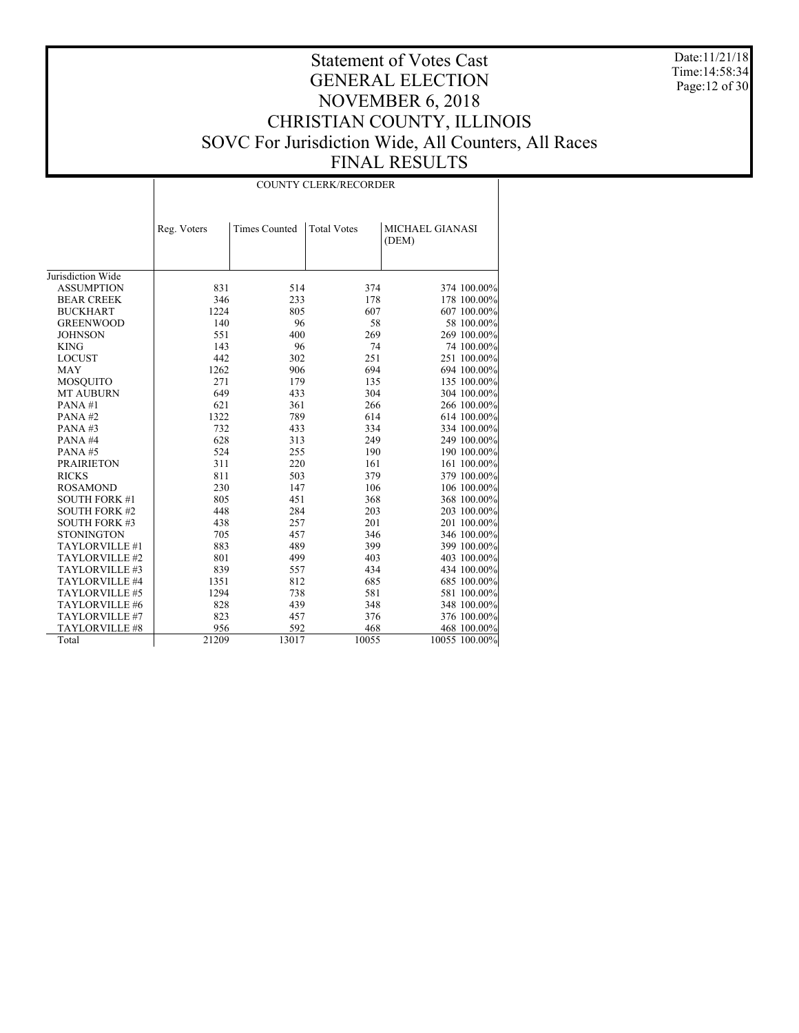Date:11/21/18 Time:14:58:34 Page:12 of 30

|                      | <b>COUNTY CLERK/RECORDER</b> |                      |                    |                                 |  |  |  |  |  |
|----------------------|------------------------------|----------------------|--------------------|---------------------------------|--|--|--|--|--|
|                      | Reg. Voters                  | <b>Times Counted</b> | <b>Total Votes</b> | <b>MICHAEL GIANASI</b><br>(DEM) |  |  |  |  |  |
| Jurisdiction Wide    |                              |                      |                    |                                 |  |  |  |  |  |
| <b>ASSUMPTION</b>    | 831                          | 514                  | 374                | 374 100.00%                     |  |  |  |  |  |
| <b>BEAR CREEK</b>    | 346                          | 233                  | 178                | 178 100.00%                     |  |  |  |  |  |
| <b>BUCKHART</b>      | 1224                         | 805                  | 607                | 607 100.00%                     |  |  |  |  |  |
| <b>GREENWOOD</b>     | 140                          | 96                   | 58                 | 58 100.00%                      |  |  |  |  |  |
| <b>JOHNSON</b>       | 551                          | 400                  | 269                | 269 100.00%                     |  |  |  |  |  |
| <b>KING</b>          | 143                          | 96                   | 74                 | 74 100.00%                      |  |  |  |  |  |
| <b>LOCUST</b>        | 442                          | 302                  | 251                | 251 100.00%                     |  |  |  |  |  |
| <b>MAY</b>           | 1262                         | 906                  | 694                | 694 100.00%                     |  |  |  |  |  |
| <b>MOSQUITO</b>      | 271                          | 179                  | 135                | 135 100.00%                     |  |  |  |  |  |
| <b>MT AUBURN</b>     | 649                          | 433                  | 304                | 304 100.00%                     |  |  |  |  |  |
| PANA#1               | 621                          | 361                  | 266                | 266 100.00%                     |  |  |  |  |  |
| PANA#2               | 1322                         | 789                  | 614                | 614 100.00%                     |  |  |  |  |  |
| PANA#3               | 732                          | 433                  | 334                | 334 100.00%                     |  |  |  |  |  |
| PANA#4               | 628                          | 313                  | 249                | 249 100.00%                     |  |  |  |  |  |
| PANA#5               | 524                          | 255                  | 190                | 190 100.00%                     |  |  |  |  |  |
| <b>PRAIRIETON</b>    | 311                          | 220                  | 161                | 161 100.00%                     |  |  |  |  |  |
| <b>RICKS</b>         | 811                          | 503                  | 379                | 379 100.00%                     |  |  |  |  |  |
| <b>ROSAMOND</b>      | 230                          | 147                  | 106                | 106 100.00%                     |  |  |  |  |  |
| <b>SOUTH FORK #1</b> | 805                          | 451                  | 368                | 368 100.00%                     |  |  |  |  |  |
| <b>SOUTH FORK #2</b> | 448                          | 284                  | 203                | 203 100.00%                     |  |  |  |  |  |
| <b>SOUTH FORK #3</b> | 438                          | 257                  | 201                | 201 100.00%                     |  |  |  |  |  |
| <b>STONINGTON</b>    | 705                          | 457                  | 346                | 346 100.00%                     |  |  |  |  |  |
| TAYLORVILLE #1       | 883                          | 489                  | 399                | 399 100.00%                     |  |  |  |  |  |
| TAYLORVILLE #2       | 801                          | 499                  | 403                | 403 100.00%                     |  |  |  |  |  |
| TAYLORVILLE #3       | 839                          | 557                  | 434                | 434 100.00%                     |  |  |  |  |  |
| TAYLORVILLE #4       | 1351                         | 812                  | 685                | 685 100.00%                     |  |  |  |  |  |
| TAYLORVILLE #5       | 1294                         | 738                  | 581                | 581 100.00%                     |  |  |  |  |  |
| TAYLORVILLE #6       | 828                          | 439                  | 348                | 348 100.00%                     |  |  |  |  |  |
| TAYLORVILLE #7       | 823                          | 457                  | 376                | 376 100.00%                     |  |  |  |  |  |
| TAYLORVILLE #8       | 956                          | 592                  | 468                | 468 100.00%                     |  |  |  |  |  |
| Total                | 21209                        | 13017                | 10055              | 10055 100.00%                   |  |  |  |  |  |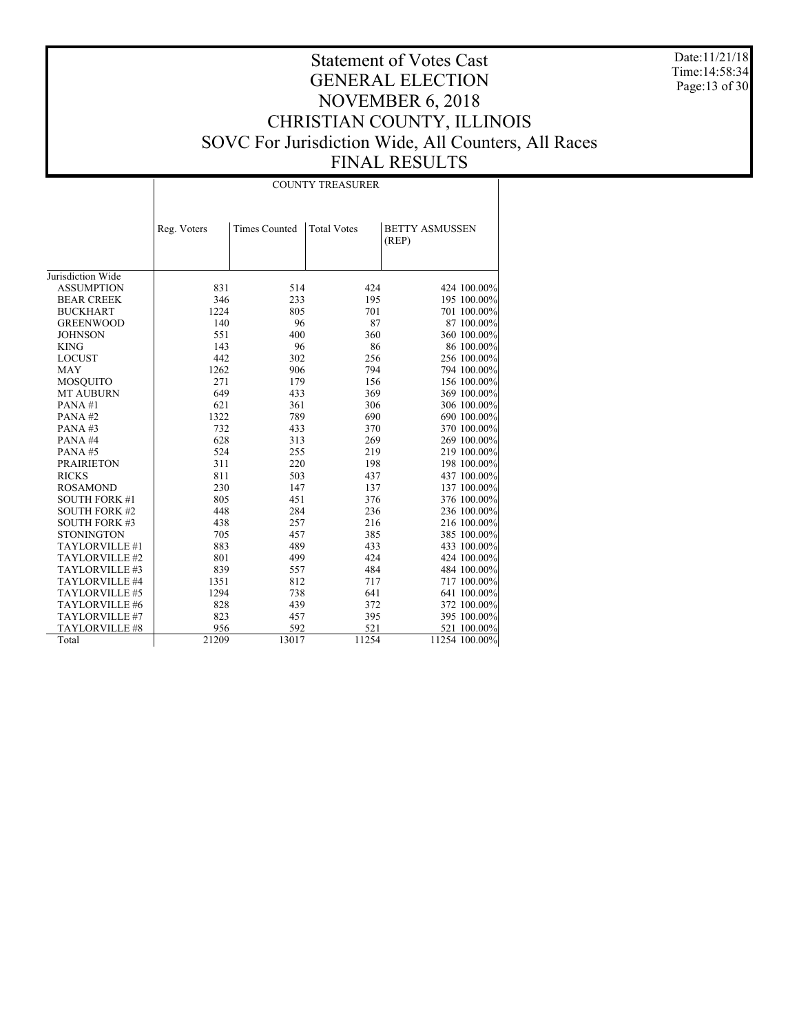Date:11/21/18 Time:14:58:34 Page:13 of 30

|                      |             |                      | <b>COUNTY TREASURER</b> |                                |
|----------------------|-------------|----------------------|-------------------------|--------------------------------|
|                      | Reg. Voters | <b>Times Counted</b> | <b>Total Votes</b>      | <b>BETTY ASMUSSEN</b><br>(REP) |
| Jurisdiction Wide    |             |                      |                         |                                |
|                      | 831         | 514                  | 424                     | 424 100.00%                    |
| <b>ASSUMPTION</b>    |             |                      |                         |                                |
| <b>BEAR CREEK</b>    | 346         | 233                  | 195                     | 195 100.00%                    |
| <b>BUCKHART</b>      | 1224        | 805                  | 701                     | 701 100.00%                    |
| <b>GREENWOOD</b>     | 140         | 96                   | 87                      | 87 100.00%                     |
| <b>JOHNSON</b>       | 551         | 400                  | 360                     | 360 100.00%                    |
| <b>KING</b>          | 143         | 96                   | 86                      | 86 100.00%                     |
| <b>LOCUST</b>        | 442         | 302                  | 256                     | 256 100.00%                    |
| <b>MAY</b>           | 1262        | 906                  | 794                     | 794 100.00%                    |
| <b>MOSQUITO</b>      | 271         | 179                  | 156                     | 156 100.00%                    |
| <b>MT AUBURN</b>     | 649         | 433                  | 369                     | 369 100.00%                    |
| PANA#1               | 621         | 361                  | 306                     | 306 100.00%                    |
| PANA#2               | 1322        | 789                  | 690                     | 690 100.00%                    |
| PANA#3               | 732         | 433                  | 370                     | 370 100.00%                    |
| PANA#4               | 628         | 313                  | 269                     | 269 100.00%                    |
| PANA#5               | 524         | 255                  | 219                     | 219 100.00%                    |
| <b>PRAIRIETON</b>    | 311         | 220                  | 198                     | 198 100.00%                    |
| <b>RICKS</b>         | 811         | 503                  | 437                     | 437 100.00%                    |
| <b>ROSAMOND</b>      | 230         | 147                  | 137                     | 137 100.00%                    |
| <b>SOUTH FORK #1</b> | 805         | 451                  | 376                     | 376 100.00%                    |
| <b>SOUTH FORK #2</b> | 448         | 284                  | 236                     | 236 100.00%                    |
| <b>SOUTH FORK #3</b> | 438         | 257                  | 216                     | 216 100.00%                    |
| <b>STONINGTON</b>    | 705         | 457                  | 385                     | 385 100.00%                    |
| TAYLORVILLE #1       | 883         | 489                  | 433                     | 433 100.00%                    |
| TAYLORVILLE #2       | 801         | 499                  | 424                     | 424 100.00%                    |
| TAYLORVILLE #3       | 839         | 557                  | 484                     | 484 100.00%                    |
| TAYLORVILLE #4       | 1351        | 812                  | 717                     | 717 100.00%                    |
| TAYLORVILLE #5       | 1294        | 738                  | 641                     | 641 100.00%                    |
| TAYLORVILLE #6       | 828         | 439                  | 372                     | 372 100.00%                    |
| TAYLORVILLE #7       | 823         | 457                  | 395                     | 395 100.00%                    |
| TAYLORVILLE #8       | 956         | 592                  | 521                     | 521 100.00%                    |
| Total                | 21209       | 13017                | 11254                   | 11254 100.00%                  |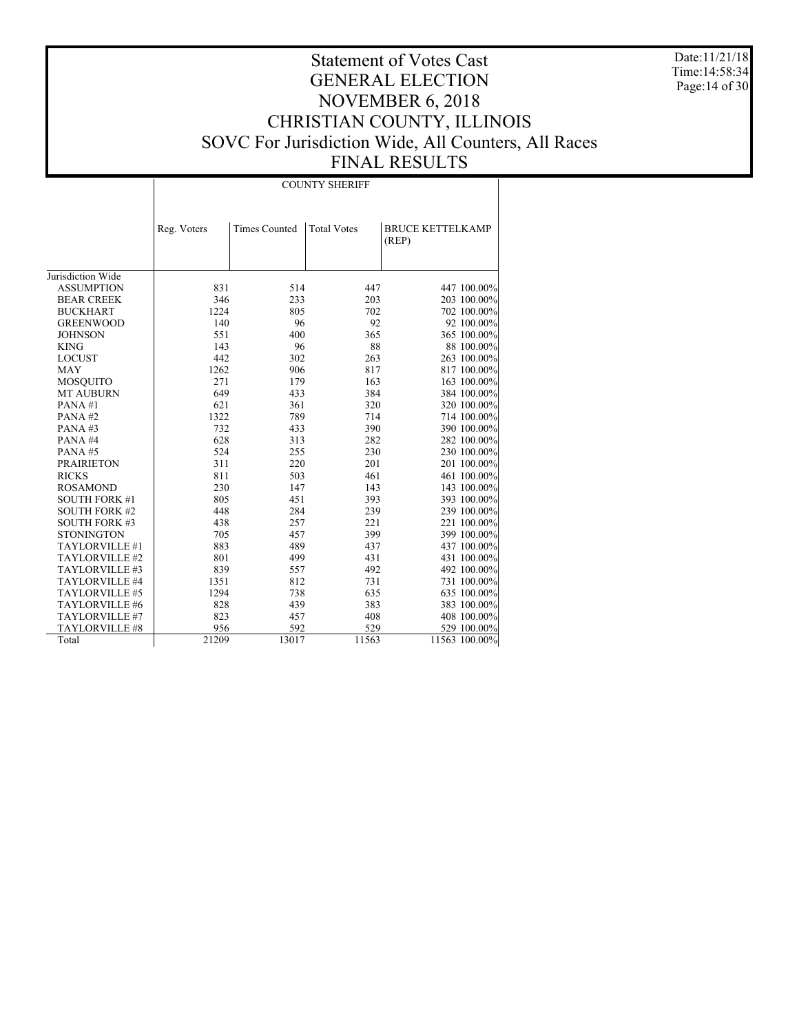Date:11/21/18 Time:14:58:34 Page:14 of 30

|                      |             |                      | <b>COUNTY SHERIFF</b> |                                  |
|----------------------|-------------|----------------------|-----------------------|----------------------------------|
|                      | Reg. Voters | <b>Times Counted</b> | <b>Total Votes</b>    | <b>BRUCE KETTELKAMP</b><br>(REP) |
| Jurisdiction Wide    |             |                      |                       |                                  |
| <b>ASSUMPTION</b>    | 831         | 514                  | 447                   | 447 100.00%                      |
| <b>BEAR CREEK</b>    | 346         | 233                  | 203                   | 203 100.00%                      |
| <b>BUCKHART</b>      | 1224        | 805                  | 702                   | 702 100.00%                      |
| <b>GREENWOOD</b>     | 140         | 96                   | 92                    | 92 100.00%                       |
| <b>JOHNSON</b>       | 551         | 400                  | 365                   | 365 100.00%                      |
| <b>KING</b>          | 143         | 96                   | 88                    | 88 100.00%                       |
| <b>LOCUST</b>        | 442         | 302                  | 263                   | 263 100.00%                      |
| <b>MAY</b>           | 1262        | 906                  | 817                   | 817 100.00%                      |
| <b>MOSQUITO</b>      | 271         | 179                  | 163                   | 163 100.00%                      |
| <b>MT AUBURN</b>     | 649         | 433                  | 384                   | 384 100.00%                      |
| PANA#1               | 621         | 361                  | 320                   | 320 100.00%                      |
| PANA#2               | 1322        | 789                  | 714                   | 714 100.00%                      |
| PANA#3               | 732         | 433                  | 390                   | 390 100.00%                      |
| PANA#4               | 628         | 313                  | 282                   | 282 100.00%                      |
| PANA#5               | 524         | 255                  | 230                   | 230 100.00%                      |
| <b>PRAIRIETON</b>    | 311         | 220                  | 201                   | 201 100.00%                      |
| <b>RICKS</b>         | 811         | 503                  | 461                   | 461 100.00%                      |
| <b>ROSAMOND</b>      | 230         | 147                  | 143                   | 143 100.00%                      |
| <b>SOUTH FORK #1</b> | 805         | 451                  | 393                   | 393 100.00%                      |
| <b>SOUTH FORK #2</b> | 448         | 284                  | 239                   | 239 100.00%                      |
| <b>SOUTH FORK #3</b> | 438         | 257                  | 221                   | 221 100.00%                      |
| <b>STONINGTON</b>    | 705         | 457                  | 399                   | 399 100.00%                      |
| TAYLORVILLE #1       | 883         | 489                  | 437                   | 437 100.00%                      |
| TAYLORVILLE #2       | 801         | 499                  | 431                   | 431 100.00%                      |
| TAYLORVILLE #3       | 839         | 557                  | 492                   | 492 100.00%                      |
| TAYLORVILLE #4       | 1351        | 812                  | 731                   | 731 100.00%                      |
| TAYLORVILLE #5       | 1294        | 738                  | 635                   | 635 100.00%                      |
| TAYLORVILLE #6       | 828         | 439                  | 383                   | 383 100.00%                      |
| TAYLORVILLE #7       | 823         | 457                  | 408                   | 408 100.00%                      |
| TAYLORVILLE #8       | 956         | 592                  | 529                   | 529 100.00%                      |
| Total                | 21209       | 13017                | 11563                 | 11563 100.00%                    |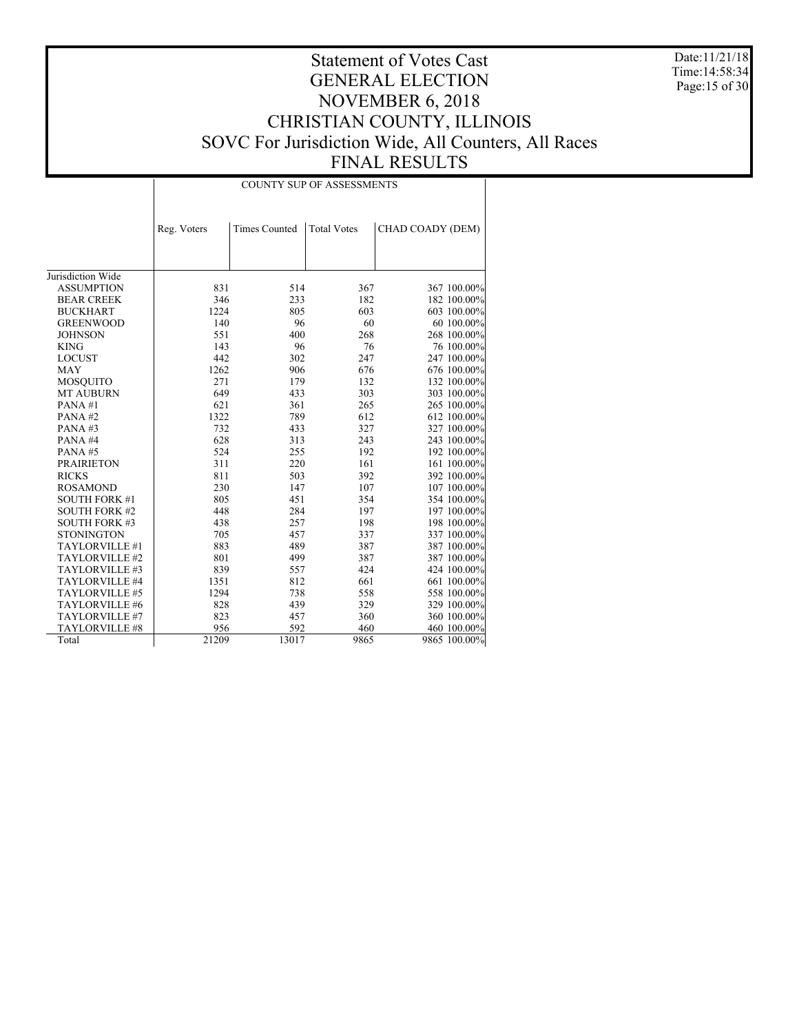Date:11/21/18 Time:14:58:34 Page:15 of 30

|                      |             |                      | <b>COUNTY SUP OF ASSESSMENTS</b> |                  |
|----------------------|-------------|----------------------|----------------------------------|------------------|
|                      | Reg. Voters | <b>Times Counted</b> | <b>Total Votes</b>               | CHAD COADY (DEM) |
|                      |             |                      |                                  |                  |
|                      |             |                      |                                  |                  |
| Jurisdiction Wide    |             |                      |                                  |                  |
| <b>ASSUMPTION</b>    | 831         | 514                  | 367                              | 367 100.00%      |
| <b>BEAR CREEK</b>    | 346         | 233                  | 182                              | 182 100.00%      |
| <b>BUCKHART</b>      | 1224        | 805                  | 603                              | 603 100.00%      |
| <b>GREENWOOD</b>     | 140         | 96                   | 60                               | 60 100.00%       |
| <b>JOHNSON</b>       | 551         | 400                  | 268                              | 268 100.00%      |
| <b>KING</b>          | 143         | 96                   | 76                               | 76 100.00%       |
| <b>LOCUST</b>        | 442         | 302                  | 247                              | 247 100.00%      |
| <b>MAY</b>           | 1262        | 906                  | 676                              | 676 100.00%      |
| <b>MOSQUITO</b>      | 271         | 179                  | 132                              | 132 100.00%      |
| <b>MT AUBURN</b>     | 649         | 433                  | 303                              | 303 100.00%      |
| PANA#1               | 621         | 361                  | 265                              | 265 100.00%      |
| PANA#2               | 1322        | 789                  | 612                              | 612 100.00%      |
| PANA#3               | 732         | 433                  | 327                              | 327 100.00%      |
| PANA#4               | 628         | 313                  | 243                              | 243 100.00%      |
| PANA#5               | 524         | 255                  | 192                              | 192 100.00%      |
| <b>PRAIRIETON</b>    | 311         | 220                  | 161                              | 161 100.00%      |
| <b>RICKS</b>         | 811         | 503                  | 392                              | 392 100.00%      |
| <b>ROSAMOND</b>      | 230         | 147                  | 107                              | 107 100.00%      |
| <b>SOUTH FORK #1</b> | 805         | 451                  | 354                              | 354 100.00%      |
| <b>SOUTH FORK #2</b> | 448         | 284                  | 197                              | 197 100.00%      |
| <b>SOUTH FORK #3</b> | 438         | 257                  | 198                              | 198 100.00%      |
| <b>STONINGTON</b>    | 705         | 457                  | 337                              | 337 100.00%      |
| TAYLORVILLE #1       | 883         | 489                  | 387                              | 387 100.00%      |
| TAYLORVILLE #2       | 801         | 499                  | 387                              | 387 100.00%      |
| TAYLORVILLE #3       | 839         | 557                  | 424                              | 424 100.00%      |
| TAYLORVILLE #4       | 1351        | 812                  | 661                              | 661 100.00%      |
| TAYLORVILLE #5       | 1294        | 738                  | 558                              | 558 100.00%      |
| TAYLORVILLE #6       | 828         | 439                  | 329                              | 329 100.00%      |
| TAYLORVILLE #7       | 823         | 457                  | 360                              | 360 100.00%      |
| TAYLORVILLE #8       | 956         | 592                  | 460                              | 460 100.00%      |
| Total                | 21209       | 13017                | 9865                             | 9865 100.00%     |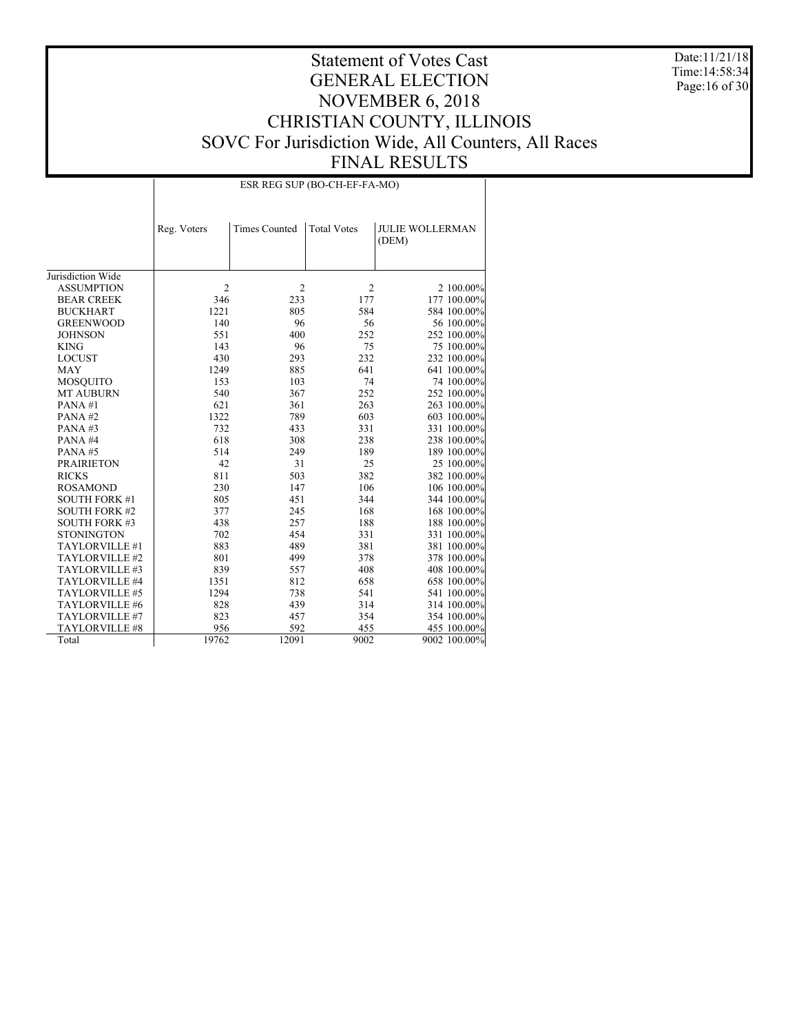Date:11/21/18 Time:14:58:34 Page:16 of 30

|                      |                |                      | ESR REG SUP (BO-CH-EF-FA-MO) |                                 |
|----------------------|----------------|----------------------|------------------------------|---------------------------------|
|                      | Reg. Voters    | <b>Times Counted</b> | <b>Total Votes</b>           | <b>JULIE WOLLERMAN</b><br>(DEM) |
| Jurisdiction Wide    |                |                      |                              |                                 |
| <b>ASSUMPTION</b>    | $\overline{c}$ | 2                    | $\overline{2}$               | 2 100.00%                       |
| <b>BEAR CREEK</b>    | 346            | 233                  | 177                          | 177 100.00%                     |
| <b>BUCKHART</b>      | 1221           | 805                  | 584                          | 584 100.00%                     |
| <b>GREENWOOD</b>     | 140            | 96                   | 56                           | 56 100.00%                      |
| <b>JOHNSON</b>       | 551            | 400                  | 252                          | 252 100.00%                     |
| <b>KING</b>          | 143            | 96                   | 75                           | 75 100.00%                      |
| <b>LOCUST</b>        | 430            | 293                  | 232                          | 232 100.00%                     |
| <b>MAY</b>           | 1249           | 885                  | 641                          | 641 100.00%                     |
| <b>MOSQUITO</b>      | 153            | 103                  | 74                           | 74 100.00%                      |
| <b>MT AUBURN</b>     | 540            | 367                  | 252                          | 252 100.00%                     |
| PANA#1               | 621            | 361                  | 263                          | 263 100.00%                     |
| PANA#2               | 1322           | 789                  | 603                          | 603 100.00%                     |
| PANA#3               | 732            | 433                  | 331                          | 331 100.00%                     |
| PANA#4               | 618            | 308                  | 238                          | 238 100.00%                     |
| PANA#5               | 514            | 249                  | 189                          | 189 100.00%                     |
| <b>PRAIRIETON</b>    | 42             | 31                   | 25                           | 25 100.00%                      |
| <b>RICKS</b>         | 811            | 503                  | 382                          | 382 100.00%                     |
| <b>ROSAMOND</b>      | 230            | 147                  | 106                          | 106 100.00%                     |
| <b>SOUTH FORK #1</b> | 805            | 451                  | 344                          | 344 100.00%                     |
| <b>SOUTH FORK #2</b> | 377            | 245                  | 168                          | 168 100.00%                     |
| <b>SOUTH FORK #3</b> | 438            | 257                  | 188                          | 188 100.00%                     |
| <b>STONINGTON</b>    | 702            | 454                  | 331                          | 331 100.00%                     |
| TAYLORVILLE #1       | 883            | 489                  | 381                          | 381 100.00%                     |
| TAYLORVILLE #2       | 801            | 499                  | 378                          | 378 100.00%                     |
| TAYLORVILLE #3       | 839            | 557                  | 408                          | 408 100.00%                     |
| TAYLORVILLE #4       | 1351           | 812                  | 658                          | 658 100.00%                     |
| TAYLORVILLE #5       | 1294           | 738                  | 541                          | 541 100.00%                     |
| TAYLORVILLE #6       | 828            | 439                  | 314                          | 314 100.00%                     |
| TAYLORVILLE #7       | 823            | 457                  | 354                          | 354 100.00%                     |
| TAYLORVILLE #8       | 956            | 592                  | 455                          | 455 100.00%                     |
| Total                | 19762          | 12091                | 9002                         | 9002 100.00%                    |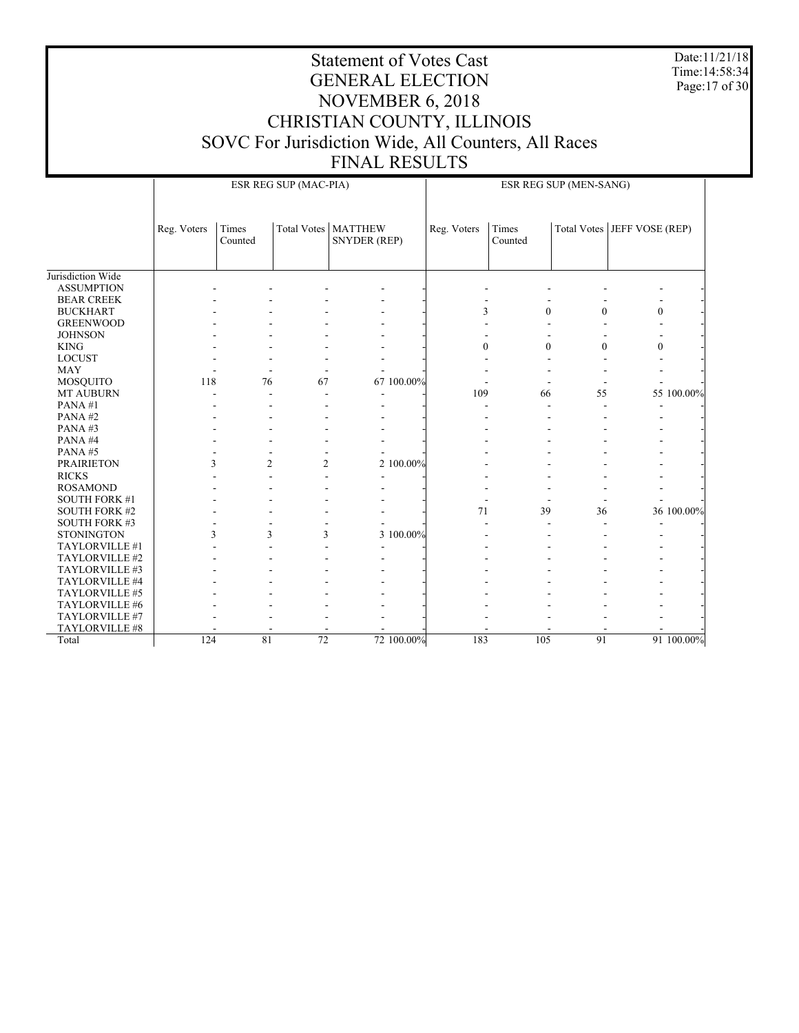Date:11/21/18 Time:14:58:34 Page:17 of 30

|                      |                                                                                 | ESR REG SUP (MAC-PIA) |                                 |  |                               | ESR REG SUP (MEN-SANG) |              |              |                |            |
|----------------------|---------------------------------------------------------------------------------|-----------------------|---------------------------------|--|-------------------------------|------------------------|--------------|--------------|----------------|------------|
|                      | Times<br>Total Votes   MATTHEW<br>Reg. Voters<br>Counted<br><b>SNYDER (REP)</b> |                       | Times<br>Reg. Voters<br>Counted |  | Total Votes   JEFF VOSE (REP) |                        |              |              |                |            |
| Jurisdiction Wide    |                                                                                 |                       |                                 |  |                               |                        |              |              |                |            |
| <b>ASSUMPTION</b>    |                                                                                 |                       |                                 |  |                               |                        |              |              |                |            |
| <b>BEAR CREEK</b>    |                                                                                 |                       |                                 |  |                               |                        |              |              |                |            |
| <b>BUCKHART</b>      |                                                                                 |                       |                                 |  |                               | 3                      | $\theta$     | $\theta$     | $\theta$       |            |
| <b>GREENWOOD</b>     |                                                                                 |                       |                                 |  |                               |                        |              |              |                |            |
| <b>JOHNSON</b>       |                                                                                 |                       |                                 |  |                               |                        |              |              |                |            |
| <b>KING</b>          |                                                                                 |                       |                                 |  |                               | $\overline{0}$         | $\mathbf{0}$ | $\mathbf{0}$ | $\overline{0}$ |            |
| <b>LOCUST</b>        |                                                                                 |                       |                                 |  |                               |                        |              |              |                |            |
| <b>MAY</b>           |                                                                                 |                       |                                 |  |                               |                        |              |              |                |            |
| <b>MOSQUITO</b>      | 118                                                                             | 76                    | 67                              |  | 67 100.00%                    |                        |              |              |                |            |
| <b>MT AUBURN</b>     |                                                                                 |                       |                                 |  |                               | 109                    | 66           | 55           |                | 55 100.00% |
| PANA#1               |                                                                                 |                       |                                 |  |                               |                        |              |              |                |            |
| PANA#2               |                                                                                 |                       |                                 |  |                               |                        |              |              |                |            |
| PANA#3               |                                                                                 |                       |                                 |  |                               |                        |              |              |                |            |
| PANA#4               |                                                                                 |                       |                                 |  |                               |                        |              |              |                |            |
| PANA#5               |                                                                                 |                       |                                 |  |                               |                        |              |              |                |            |
| <b>PRAIRIETON</b>    |                                                                                 | 3<br>$\overline{c}$   | $\overline{2}$                  |  | 2 100.00%                     |                        |              |              |                |            |
| <b>RICKS</b>         |                                                                                 |                       |                                 |  |                               |                        |              |              |                |            |
| <b>ROSAMOND</b>      |                                                                                 |                       |                                 |  |                               |                        |              |              |                |            |
| <b>SOUTH FORK #1</b> |                                                                                 |                       |                                 |  |                               |                        |              |              |                |            |
| <b>SOUTH FORK #2</b> |                                                                                 |                       |                                 |  |                               | 71                     | 39           | 36           |                | 36 100.00% |
| <b>SOUTH FORK #3</b> |                                                                                 |                       |                                 |  |                               |                        |              |              |                |            |
| <b>STONINGTON</b>    |                                                                                 | 3<br>3                | 3                               |  | 3 100.00%                     |                        |              |              |                |            |
| TAYLORVILLE #1       |                                                                                 |                       |                                 |  |                               |                        |              |              |                |            |
| TAYLORVILLE #2       |                                                                                 |                       |                                 |  |                               |                        |              |              |                |            |
| TAYLORVILLE #3       |                                                                                 |                       |                                 |  |                               |                        |              |              |                |            |
| TAYLORVILLE #4       |                                                                                 |                       |                                 |  |                               |                        |              |              |                |            |
| TAYLORVILLE #5       |                                                                                 |                       |                                 |  |                               |                        |              |              |                |            |
| TAYLORVILLE #6       |                                                                                 |                       |                                 |  |                               |                        |              |              |                |            |
| TAYLORVILLE #7       |                                                                                 |                       |                                 |  |                               |                        |              |              |                |            |
| TAYLORVILLE #8       |                                                                                 |                       |                                 |  |                               |                        |              |              |                |            |
| Total                | 124                                                                             | 81                    | 72                              |  | 72 100.00%                    | 183                    | 105          | 91           |                | 91 100,00% |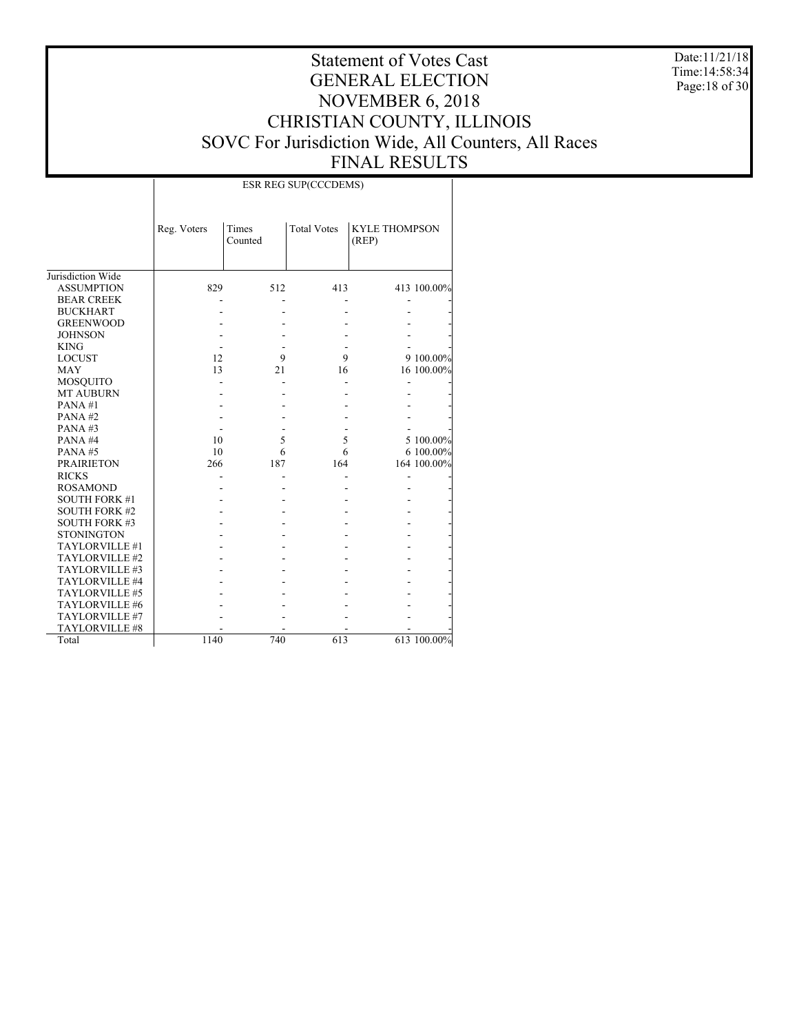Date:11/21/18 Time:14:58:34 Page:18 of 30

# Statement of Votes Cast GENERAL ELECTION NOVEMBER 6, 2018 CHRISTIAN COUNTY, ILLINOIS SOVC For Jurisdiction Wide, All Counters, All Races FINAL RESULTS

|                      |             |                  | ESR REG SUP(CCCDEMS) |                               |             |
|----------------------|-------------|------------------|----------------------|-------------------------------|-------------|
|                      | Reg. Voters | Times<br>Counted | <b>Total Votes</b>   | <b>KYLE THOMPSON</b><br>(REP) |             |
| Jurisdiction Wide    |             |                  |                      |                               |             |
| <b>ASSUMPTION</b>    | 829         | 512              | 413                  |                               | 413 100.00% |
| <b>BEAR CREEK</b>    |             |                  |                      |                               |             |
| <b>BUCKHART</b>      |             |                  |                      |                               |             |
| <b>GREENWOOD</b>     |             |                  |                      |                               |             |
| <b>JOHNSON</b>       |             |                  |                      |                               |             |
| <b>KING</b>          |             |                  |                      |                               |             |
| <b>LOCUST</b>        | 12          | 9                | 9                    |                               | 9 100.00%   |
| <b>MAY</b>           | 13          | 21               | 16                   |                               | 16 100.00%  |
| MOSQUITO             |             |                  |                      |                               |             |
| <b>MT AUBURN</b>     |             |                  |                      |                               |             |
| PANA#1               |             |                  |                      |                               |             |
| PANA#2               |             |                  |                      |                               |             |
| PANA#3               |             |                  |                      |                               |             |
| PANA#4               | 10          | 5                | 5                    |                               | 5 100.00%   |
| PANA#5               | 10          | 6                | 6                    |                               | 6 100.00%   |
| <b>PRAIRIETON</b>    | 266         | 187              | 164                  |                               | 164 100.00% |
| <b>RICKS</b>         |             |                  |                      |                               |             |
| <b>ROSAMOND</b>      |             |                  |                      |                               |             |
| <b>SOUTH FORK #1</b> |             |                  |                      |                               |             |
| <b>SOUTH FORK #2</b> |             |                  |                      |                               |             |
| <b>SOUTH FORK #3</b> |             |                  |                      |                               |             |
| <b>STONINGTON</b>    |             |                  |                      |                               |             |
| TAYLORVILLE #1       |             |                  |                      |                               |             |
| TAYLORVILLE #2       |             |                  |                      |                               |             |
| TAYLORVILLE #3       |             |                  |                      |                               |             |
| TAYLORVILLE #4       |             |                  |                      |                               |             |
| TAYLORVILLE #5       |             |                  |                      |                               |             |
| TAYLORVILLE #6       |             |                  |                      |                               |             |
| TAYLORVILLE #7       |             |                  |                      |                               |             |
| TAYLORVILLE #8       |             |                  |                      |                               |             |
| Total                | 1140        | 740              | 613                  |                               | 613 100.00% |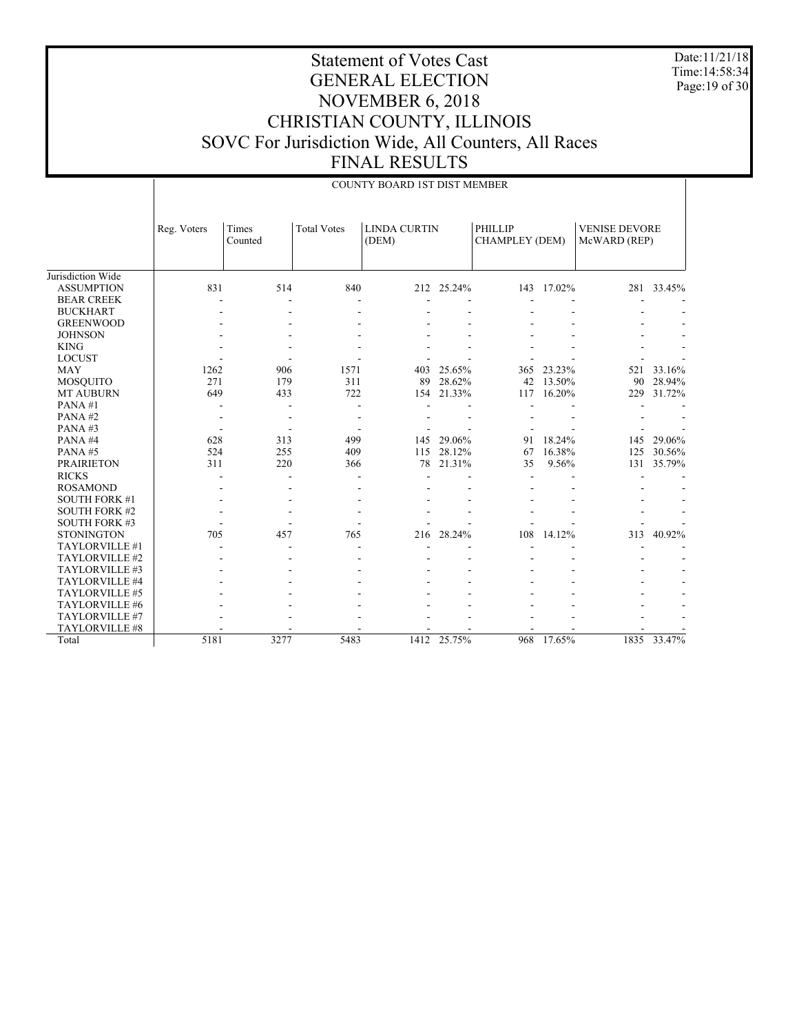Date:11/21/18 Time:14:58:34 Page:19 of 30

|                                                             |             |                  |                          | COUNTY BOARD 1ST DIST MEMBER |                  |                                         |                      |                                      |                  |
|-------------------------------------------------------------|-------------|------------------|--------------------------|------------------------------|------------------|-----------------------------------------|----------------------|--------------------------------------|------------------|
|                                                             | Reg. Voters | Times<br>Counted | <b>Total Votes</b>       | <b>LINDA CURTIN</b><br>(DEM) |                  | <b>PHILLIP</b><br><b>CHAMPLEY (DEM)</b> |                      | <b>VENISE DEVORE</b><br>McWARD (REP) |                  |
| Jurisdiction Wide<br><b>ASSUMPTION</b><br><b>BEAR CREEK</b> | 831         | 514              | 840                      |                              | 212 25.24%       | 143                                     | 17.02%               |                                      | 281 33.45%       |
| <b>BUCKHART</b><br><b>GREENWOOD</b>                         |             |                  |                          |                              |                  |                                         |                      |                                      |                  |
| <b>JOHNSON</b><br><b>KING</b>                               |             |                  |                          |                              |                  |                                         |                      |                                      |                  |
| <b>LOCUST</b><br><b>MAY</b>                                 | 1262        | 906              | 1571                     | 403                          | 25.65%           | 365                                     | 23.23%               | 521                                  | 33.16%           |
| MOSQUITO<br><b>MT AUBURN</b><br>PANA#1                      | 271<br>649  | 179<br>433       | 311<br>722               | 89<br>154                    | 28.62%<br>21.33% | 42<br>117                               | 13.50%<br>16.20%     | 90<br>229                            | 28.94%<br>31.72% |
| PANA#2<br>PANA#3                                            |             |                  | $\overline{\phantom{0}}$ |                              |                  |                                         |                      |                                      |                  |
| PANA#4<br>PANA#5                                            | 628<br>524  | 313<br>255       | 499<br>409               | 145<br>115                   | 29.06%<br>28.12% | 91<br>67                                | 18.24%<br>16.38%     | 145<br>125                           | 29.06%<br>30.56% |
| <b>PRAIRIETON</b><br><b>RICKS</b><br><b>ROSAMOND</b>        | 311         | 220              | 366                      | 78                           | 21.31%           | 35                                      | 9.56%                | 131                                  | 35.79%           |
| <b>SOUTH FORK #1</b><br><b>SOUTH FORK #2</b>                |             |                  |                          |                              |                  |                                         |                      |                                      |                  |
| <b>SOUTH FORK #3</b><br><b>STONINGTON</b>                   | 705         | 457              | 765                      | 216                          | 28.24%           | 108                                     | 14.12%               | 313                                  | 40.92%           |
| TAYLORVILLE #1<br>TAYLORVILLE #2<br>TAYLORVILLE #3          |             |                  |                          |                              |                  |                                         |                      |                                      |                  |
| TAYLORVILLE #4<br>TAYLORVILLE #5                            |             |                  |                          |                              |                  |                                         |                      |                                      |                  |
| TAYLORVILLE #6<br>TAYLORVILLE #7                            |             |                  |                          |                              |                  |                                         |                      |                                      |                  |
| TAYLORVILLE #8<br>Total                                     | 5181        | 3277             | 5483                     | 1412                         | 25.75%           | 968                                     | $17.\overline{65\%}$ |                                      | 1835 33.47%      |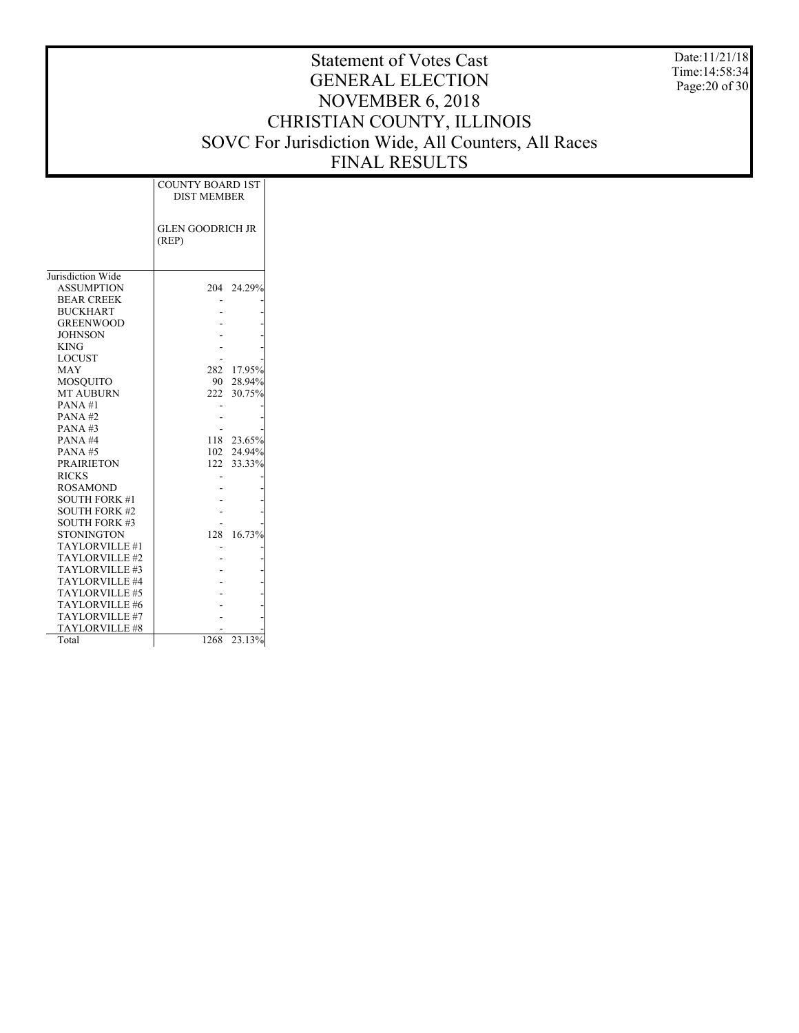Date:11/21/18 Time:14:58:34 Page:20 of 30

|                                  | <b>COUNTY BOARD 1ST</b><br><b>DIST MEMBER</b> |  |
|----------------------------------|-----------------------------------------------|--|
|                                  | <b>GLEN GOODRICH JR</b><br>(REP)              |  |
| Jurisdiction Wide                |                                               |  |
| <b>ASSUMPTION</b>                | 204 24.29%                                    |  |
| <b>BEAR CREEK</b>                |                                               |  |
| <b>BUCKHART</b>                  |                                               |  |
| <b>GREENWOOD</b>                 |                                               |  |
| <b>JOHNSON</b>                   |                                               |  |
| <b>KING</b>                      |                                               |  |
| <b>LOCUST</b>                    |                                               |  |
| <b>MAY</b>                       | 282 17.95%                                    |  |
| <b>MOSOUITO</b>                  | 90 28.94%                                     |  |
| <b>MT AUBURN</b>                 | 222 30.75%                                    |  |
| PANA#1                           |                                               |  |
| $PANA$ #2                        |                                               |  |
| PANA#3                           |                                               |  |
| PANA#4                           | 118 23.65%                                    |  |
| PANA#5                           | 102 24.94%                                    |  |
| <b>PRAIRIETON</b>                | 122 33.33%                                    |  |
| <b>RICKS</b>                     |                                               |  |
| <b>ROSAMOND</b>                  |                                               |  |
| <b>SOUTH FORK #1</b>             |                                               |  |
| <b>SOUTH FORK #2</b>             |                                               |  |
| <b>SOUTH FORK #3</b>             |                                               |  |
| <b>STONINGTON</b>                | 16.73%<br>128                                 |  |
| TAYLORVILLE #1<br>TAYLORVILLE #2 |                                               |  |
| TAYLORVILLE #3                   |                                               |  |
| TAYLORVILLE #4                   |                                               |  |
| TAYLORVILLE #5                   |                                               |  |
| TAYLORVILLE #6                   |                                               |  |
| TAYLORVILLE #7                   |                                               |  |
| TAYLORVILLE #8                   |                                               |  |
| Total                            | 23.13%<br>1268                                |  |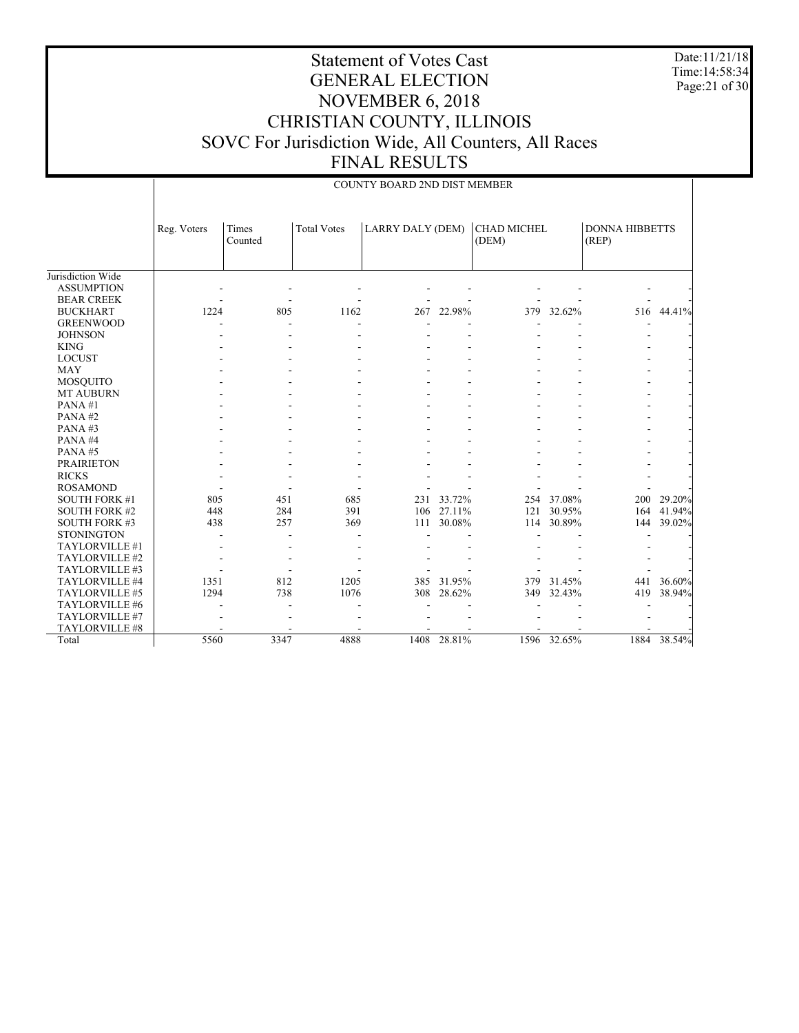Date:11/21/18 Time:14:58:34 Page:21 of 30

|                                        |             | COUNTY BOARD 2ND DIST MEMBER |                    |                  |            |                             |             |                                |             |  |
|----------------------------------------|-------------|------------------------------|--------------------|------------------|------------|-----------------------------|-------------|--------------------------------|-------------|--|
|                                        | Reg. Voters | Times<br>Counted             | <b>Total Votes</b> | LARRY DALY (DEM) |            | <b>CHAD MICHEL</b><br>(DEM) |             | <b>DONNA HIBBETTS</b><br>(REP) |             |  |
| Jurisdiction Wide<br><b>ASSUMPTION</b> |             |                              |                    |                  |            |                             |             |                                |             |  |
| <b>BEAR CREEK</b>                      |             |                              |                    |                  |            |                             |             |                                |             |  |
| <b>BUCKHART</b>                        | 1224        | 805                          | 1162               | 267              | 22.98%     | 379                         | 32.62%      | 516                            | 44.41%      |  |
| <b>GREENWOOD</b>                       |             |                              |                    |                  |            |                             |             |                                |             |  |
| <b>JOHNSON</b>                         |             |                              |                    |                  |            |                             |             |                                |             |  |
| <b>KING</b>                            |             |                              |                    |                  |            |                             |             |                                |             |  |
| <b>LOCUST</b>                          |             |                              |                    |                  |            |                             |             |                                |             |  |
| <b>MAY</b>                             |             |                              |                    |                  |            |                             |             |                                |             |  |
| <b>MOSQUITO</b>                        |             |                              |                    |                  |            |                             |             |                                |             |  |
| <b>MT AUBURN</b>                       |             |                              |                    |                  |            |                             |             |                                |             |  |
| PANA#1                                 |             |                              |                    |                  |            |                             |             |                                |             |  |
| PANA#2                                 |             |                              |                    |                  |            |                             |             |                                |             |  |
| PANA#3                                 |             |                              |                    |                  |            |                             |             |                                |             |  |
| PANA#4                                 |             |                              |                    |                  |            |                             |             |                                |             |  |
| PANA#5                                 |             |                              |                    |                  |            |                             |             |                                |             |  |
| <b>PRAIRIETON</b>                      |             |                              |                    |                  |            |                             |             |                                |             |  |
| <b>RICKS</b>                           |             |                              |                    |                  |            |                             |             |                                |             |  |
| <b>ROSAMOND</b>                        |             |                              |                    |                  |            |                             |             |                                |             |  |
| <b>SOUTH FORK #1</b>                   | 805         | 451                          | 685                | 231              | 33.72%     | 254                         | 37.08%      | 200                            | 29.20%      |  |
| <b>SOUTH FORK #2</b>                   | 448         | 284                          | 391                |                  | 106 27.11% | 121                         | 30.95%      | 164                            | 41.94%      |  |
| <b>SOUTH FORK #3</b>                   | 438         | 257                          | 369                | 111              | 30.08%     | 114                         | 30.89%      | 144                            | 39.02%      |  |
| <b>STONINGTON</b>                      |             |                              |                    |                  |            |                             |             |                                |             |  |
| TAYLORVILLE #1                         |             |                              |                    |                  |            |                             |             |                                |             |  |
| TAYLORVILLE #2                         |             |                              |                    |                  |            |                             |             |                                |             |  |
| TAYLORVILLE #3                         |             |                              |                    |                  |            |                             |             |                                |             |  |
| TAYLORVILLE #4                         | 1351        | 812                          | 1205               | 385              | 31.95%     | 379                         | 31.45%      | 441                            | 36.60%      |  |
| TAYLORVILLE #5                         | 1294        | 738                          | 1076               | 308              | 28.62%     | 349                         | 32.43%      | 419                            | 38.94%      |  |
| TAYLORVILLE #6                         |             |                              |                    |                  |            |                             |             |                                |             |  |
| TAYLORVILLE #7                         |             |                              |                    |                  |            |                             |             |                                |             |  |
| TAYLORVILLE #8                         |             |                              |                    |                  |            |                             |             |                                |             |  |
| Total                                  | 5560        | 3347                         | 4888               | 1408             | 28.81%     |                             | 1596 32.65% |                                | 1884 38.54% |  |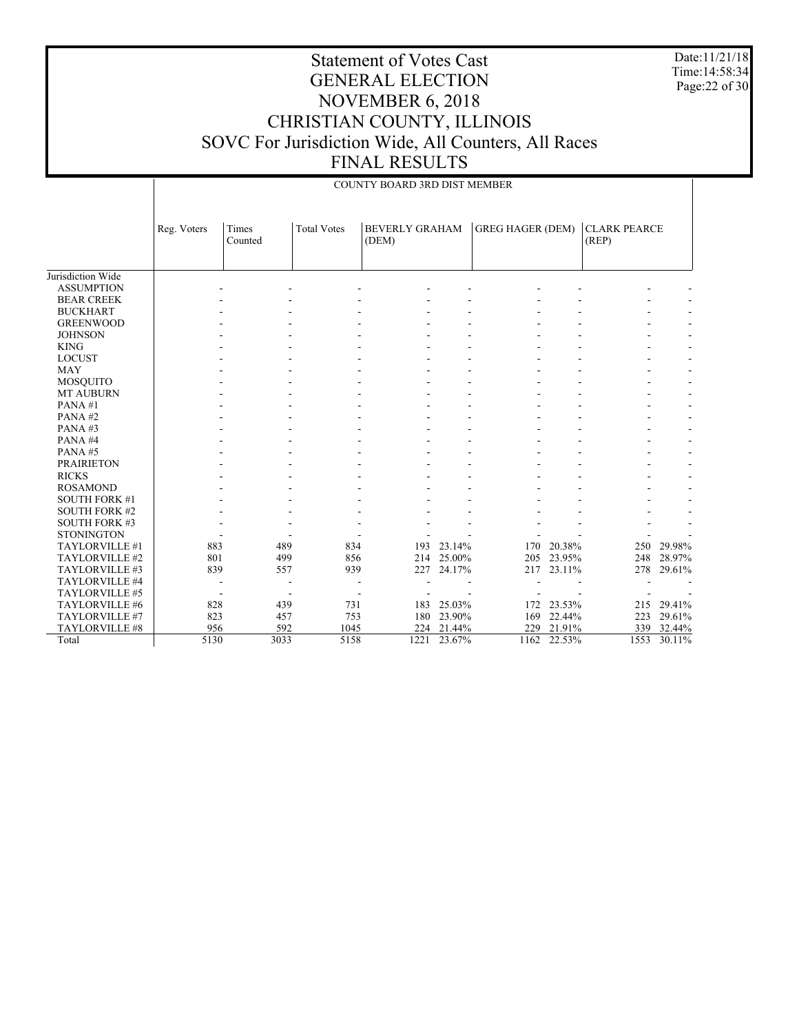Date:11/21/18 Time:14:58:34 Page:22 of 30

### Statement of Votes Cast GENERAL ELECTION NOVEMBER 6, 2018 CHRISTIAN COUNTY, ILLINOIS SOVC For Jurisdiction Wide, All Counters, All Races FINAL RESULTS

| <b>BEVERLY GRAHAM</b><br><b>GREG HAGER (DEM)</b><br><b>CLARK PEARCE</b><br><b>Total Votes</b><br>Reg. Voters<br>Times<br>(REP)<br>(DEM)<br>Counted<br>Jurisdiction Wide<br><b>ASSUMPTION</b><br><b>BEAR CREEK</b><br><b>BUCKHART</b><br><b>GREENWOOD</b><br><b>JOHNSON</b><br><b>KING</b><br><b>LOCUST</b><br><b>MAY</b><br><b>MOSQUITO</b><br><b>MT AUBURN</b><br>PANA#1<br>PANA#2<br>PANA#3<br>PANA#4<br>PANA#5<br><b>PRAIRIETON</b><br><b>RICKS</b><br><b>ROSAMOND</b><br><b>SOUTH FORK #1</b><br><b>SOUTH FORK #2</b><br><b>SOUTH FORK #3</b><br><b>STONINGTON</b><br>883<br>23.14%<br>20.38%<br>TAYLORVILLE #1<br>489<br>834<br>193<br>170<br>250<br>29.98%<br>TAYLORVILLE #2<br>801<br>499<br>856<br>214<br>25.00%<br>205<br>23.95%<br>248<br>28.97%<br>23.11%<br>TAYLORVILLE #3<br>839<br>939<br>227<br>24.17%<br>217<br>278<br>29.61%<br>557<br>TAYLORVILLE #4<br>TAYLORVILLE #5<br>25.03%<br>23.53%<br>215 29.41%<br>TAYLORVILLE #6<br>828<br>439<br>731<br>183<br>172<br>823<br>TAYLORVILLE #7<br>457<br>753<br>23.90%<br>169<br>22.44%<br>223<br>29.61%<br>180<br>956<br>592<br>TAYLORVILLE #8<br>1045<br>224<br>21.44%<br>229<br>21.91%<br>339<br>32.44%<br>5130<br>5158 |       |      | COUNTY BOARD 3RD DIST MEMBER |        |      |        |      |        |
|--------------------------------------------------------------------------------------------------------------------------------------------------------------------------------------------------------------------------------------------------------------------------------------------------------------------------------------------------------------------------------------------------------------------------------------------------------------------------------------------------------------------------------------------------------------------------------------------------------------------------------------------------------------------------------------------------------------------------------------------------------------------------------------------------------------------------------------------------------------------------------------------------------------------------------------------------------------------------------------------------------------------------------------------------------------------------------------------------------------------------------------------------------------------------------------|-------|------|------------------------------|--------|------|--------|------|--------|
|                                                                                                                                                                                                                                                                                                                                                                                                                                                                                                                                                                                                                                                                                                                                                                                                                                                                                                                                                                                                                                                                                                                                                                                      |       |      |                              |        |      |        |      |        |
|                                                                                                                                                                                                                                                                                                                                                                                                                                                                                                                                                                                                                                                                                                                                                                                                                                                                                                                                                                                                                                                                                                                                                                                      |       |      |                              |        |      |        |      |        |
|                                                                                                                                                                                                                                                                                                                                                                                                                                                                                                                                                                                                                                                                                                                                                                                                                                                                                                                                                                                                                                                                                                                                                                                      |       |      |                              |        |      |        |      |        |
|                                                                                                                                                                                                                                                                                                                                                                                                                                                                                                                                                                                                                                                                                                                                                                                                                                                                                                                                                                                                                                                                                                                                                                                      |       |      |                              |        |      |        |      |        |
|                                                                                                                                                                                                                                                                                                                                                                                                                                                                                                                                                                                                                                                                                                                                                                                                                                                                                                                                                                                                                                                                                                                                                                                      |       |      |                              |        |      |        |      |        |
|                                                                                                                                                                                                                                                                                                                                                                                                                                                                                                                                                                                                                                                                                                                                                                                                                                                                                                                                                                                                                                                                                                                                                                                      |       |      |                              |        |      |        |      |        |
|                                                                                                                                                                                                                                                                                                                                                                                                                                                                                                                                                                                                                                                                                                                                                                                                                                                                                                                                                                                                                                                                                                                                                                                      |       |      |                              |        |      |        |      |        |
|                                                                                                                                                                                                                                                                                                                                                                                                                                                                                                                                                                                                                                                                                                                                                                                                                                                                                                                                                                                                                                                                                                                                                                                      |       |      |                              |        |      |        |      |        |
|                                                                                                                                                                                                                                                                                                                                                                                                                                                                                                                                                                                                                                                                                                                                                                                                                                                                                                                                                                                                                                                                                                                                                                                      |       |      |                              |        |      |        |      |        |
|                                                                                                                                                                                                                                                                                                                                                                                                                                                                                                                                                                                                                                                                                                                                                                                                                                                                                                                                                                                                                                                                                                                                                                                      |       |      |                              |        |      |        |      |        |
|                                                                                                                                                                                                                                                                                                                                                                                                                                                                                                                                                                                                                                                                                                                                                                                                                                                                                                                                                                                                                                                                                                                                                                                      |       |      |                              |        |      |        |      |        |
|                                                                                                                                                                                                                                                                                                                                                                                                                                                                                                                                                                                                                                                                                                                                                                                                                                                                                                                                                                                                                                                                                                                                                                                      |       |      |                              |        |      |        |      |        |
|                                                                                                                                                                                                                                                                                                                                                                                                                                                                                                                                                                                                                                                                                                                                                                                                                                                                                                                                                                                                                                                                                                                                                                                      |       |      |                              |        |      |        |      |        |
|                                                                                                                                                                                                                                                                                                                                                                                                                                                                                                                                                                                                                                                                                                                                                                                                                                                                                                                                                                                                                                                                                                                                                                                      |       |      |                              |        |      |        |      |        |
|                                                                                                                                                                                                                                                                                                                                                                                                                                                                                                                                                                                                                                                                                                                                                                                                                                                                                                                                                                                                                                                                                                                                                                                      |       |      |                              |        |      |        |      |        |
|                                                                                                                                                                                                                                                                                                                                                                                                                                                                                                                                                                                                                                                                                                                                                                                                                                                                                                                                                                                                                                                                                                                                                                                      | Total | 3033 | 1221                         | 23.67% | 1162 | 22.53% | 1553 | 30.11% |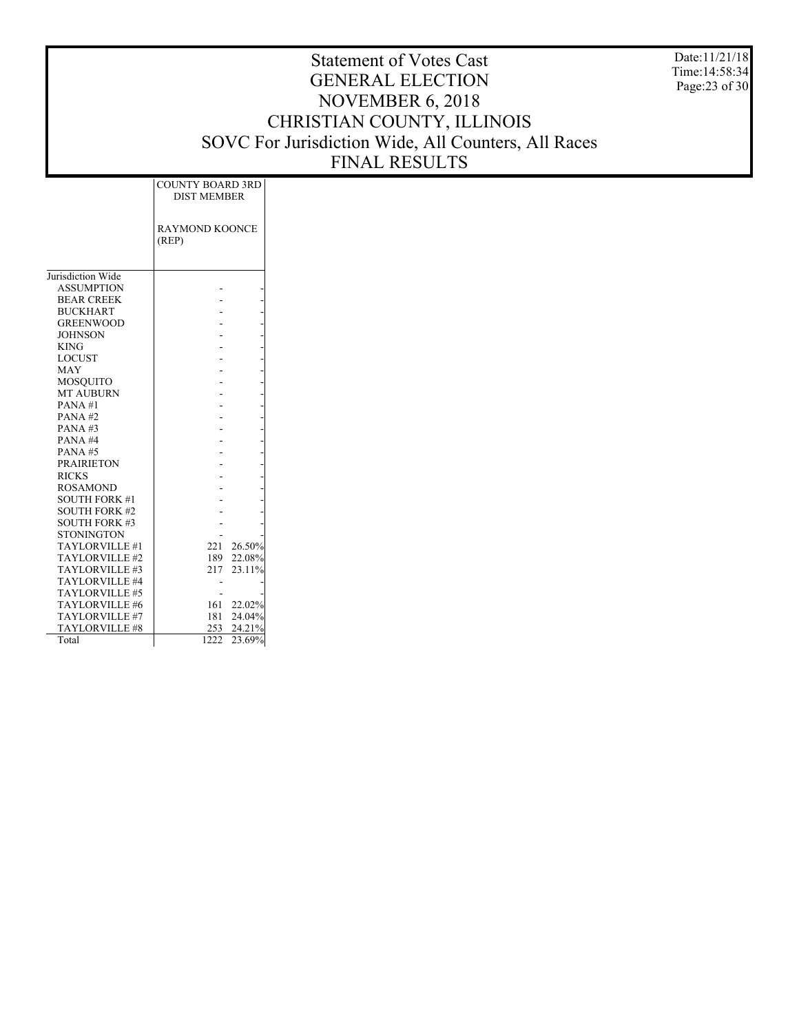Date:11/21/18 Time:14:58:34 Page:23 of 30

|                       | <b>COUNTY BOARD 3RD</b><br><b>DIST MEMBER</b> |
|-----------------------|-----------------------------------------------|
|                       | <b>RAYMOND KOONCE</b><br>(REP)                |
| Jurisdiction Wide     |                                               |
| <b>ASSUMPTION</b>     |                                               |
| <b>BEAR CREEK</b>     |                                               |
| <b>BUCKHART</b>       |                                               |
| <b>GREENWOOD</b>      |                                               |
| <b>JOHNSON</b>        |                                               |
| <b>KING</b>           |                                               |
| <b>LOCUST</b>         |                                               |
| <b>MAY</b>            |                                               |
| <b>MOSQUITO</b>       |                                               |
| <b>MT AUBURN</b>      |                                               |
| PANA#1                |                                               |
| $PANA$ #2             |                                               |
| PANA#3                |                                               |
| PANA#4                |                                               |
| PANA#5                |                                               |
| <b>PRAIRIETON</b>     |                                               |
| <b>RICKS</b>          |                                               |
| <b>ROSAMOND</b>       |                                               |
| <b>SOUTH FORK #1</b>  |                                               |
| <b>SOUTH FORK #2</b>  |                                               |
| <b>SOUTH FORK #3</b>  |                                               |
| <b>STONINGTON</b>     |                                               |
| TAYLORVILLE #1        | 26.50%<br>221                                 |
| TAYLORVILLE#2         | 189<br>22.08%                                 |
| TAYLORVILLE #3        | 23.11%<br>217                                 |
| TAYLORVILLE #4        |                                               |
| TAYLORVILLE #5        |                                               |
| TAYLORVILLE #6        | 22.02%<br>161                                 |
| TAYLORVILLE #7        | 24.04%<br>181                                 |
| <b>TAYLORVILLE #8</b> | 253<br>24.21%                                 |
| Total                 | 1222<br>23.69%                                |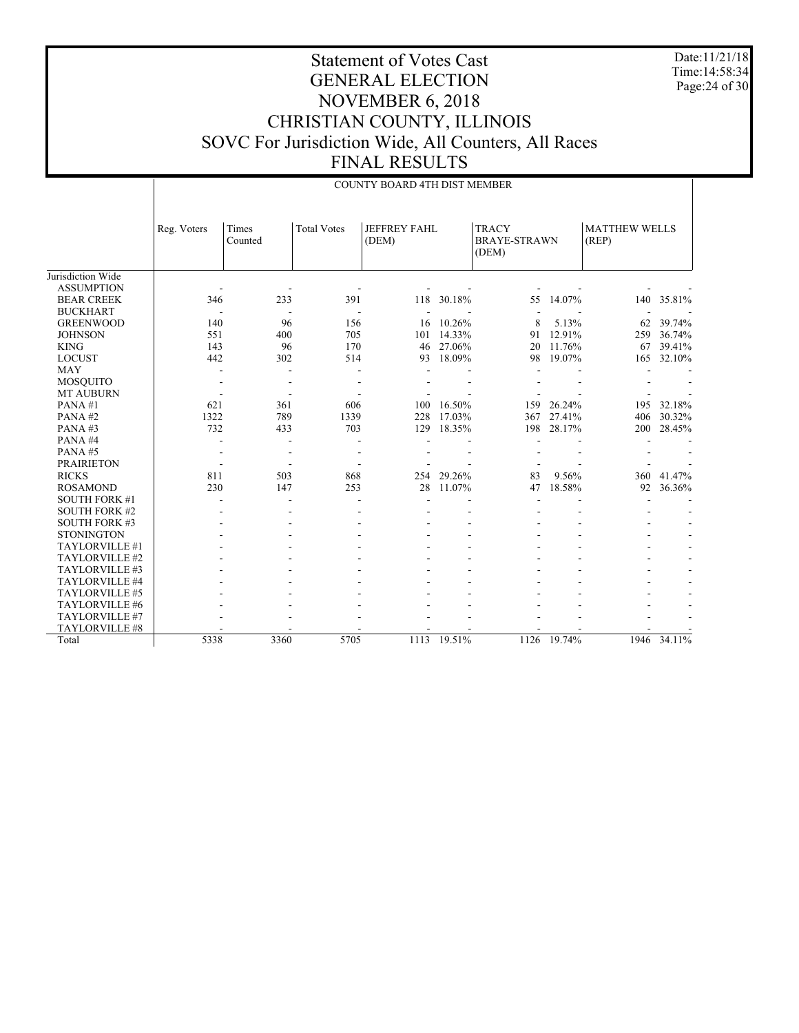Date:11/21/18 Time:14:58:34 Page:24 of 30

|                      |             | <b>COUNTY BOARD 4TH DIST MEMBER</b> |                    |                              |        |                                              |        |                               |             |  |
|----------------------|-------------|-------------------------------------|--------------------|------------------------------|--------|----------------------------------------------|--------|-------------------------------|-------------|--|
|                      | Reg. Voters | Times<br>Counted                    | <b>Total Votes</b> | <b>JEFFREY FAHL</b><br>(DEM) |        | <b>TRACY</b><br><b>BRAYE-STRAWN</b><br>(DEM) |        | <b>MATTHEW WELLS</b><br>(REP) |             |  |
| Jurisdiction Wide    |             |                                     |                    |                              |        |                                              |        |                               |             |  |
| <b>ASSUMPTION</b>    |             |                                     |                    |                              |        |                                              |        |                               |             |  |
| <b>BEAR CREEK</b>    | 346         | 233                                 | 391                | 118                          | 30.18% | 55                                           | 14.07% | 140                           | 35.81%      |  |
| <b>BUCKHART</b>      |             |                                     |                    |                              |        |                                              |        |                               |             |  |
| <b>GREENWOOD</b>     | 140         | 96                                  | 156                | 16                           | 10.26% | 8                                            | 5.13%  | 62                            | 39.74%      |  |
| <b>JOHNSON</b>       | 551         | 400                                 | 705                | 101                          | 14.33% | 91                                           | 12.91% | 259                           | 36.74%      |  |
| <b>KING</b>          | 143         | 96                                  | 170                | 46                           | 27.06% | 20                                           | 11.76% | 67                            | 39.41%      |  |
| <b>LOCUST</b>        | 442         | 302                                 | 514                | 93                           | 18.09% | 98                                           | 19.07% | 165                           | 32.10%      |  |
| <b>MAY</b>           | ٠           |                                     |                    |                              |        |                                              |        |                               |             |  |
| <b>MOSQUITO</b>      |             |                                     |                    |                              |        |                                              |        |                               |             |  |
| <b>MT AUBURN</b>     |             |                                     |                    |                              |        |                                              |        |                               |             |  |
| PANA#1               | 621         | 361                                 | 606                | 100                          | 16.50% | 159                                          | 26.24% | 195                           | 32.18%      |  |
| PANA#2               | 1322        | 789                                 | 1339               | 228                          | 17.03% | 367                                          | 27.41% | 406                           | 30.32%      |  |
| PANA#3               | 732         | 433                                 | 703                | 129                          | 18.35% | 198                                          | 28.17% | 200                           | 28.45%      |  |
| PANA#4               |             |                                     |                    |                              |        |                                              |        |                               |             |  |
| PANA#5               |             |                                     |                    |                              |        |                                              |        |                               |             |  |
| <b>PRAIRIETON</b>    |             |                                     |                    |                              |        |                                              |        |                               |             |  |
| <b>RICKS</b>         | 811         | 503                                 | 868                | 254                          | 29.26% | 83                                           | 9.56%  | 360                           | 41.47%      |  |
| <b>ROSAMOND</b>      | 230         | 147                                 | 253                | 28                           | 11.07% | 47                                           | 18.58% | 92                            | 36.36%      |  |
| <b>SOUTH FORK #1</b> |             |                                     |                    |                              |        |                                              |        |                               |             |  |
| <b>SOUTH FORK #2</b> |             |                                     |                    |                              |        |                                              |        |                               |             |  |
| <b>SOUTH FORK #3</b> |             |                                     |                    |                              |        |                                              |        |                               |             |  |
| <b>STONINGTON</b>    |             |                                     |                    |                              |        |                                              |        |                               |             |  |
| TAYLORVILLE #1       |             |                                     |                    |                              |        |                                              |        |                               |             |  |
| TAYLORVILLE #2       |             |                                     |                    |                              |        |                                              |        |                               |             |  |
| TAYLORVILLE #3       |             |                                     |                    |                              |        |                                              |        |                               |             |  |
| TAYLORVILLE #4       |             |                                     |                    |                              |        |                                              |        |                               |             |  |
| TAYLORVILLE #5       |             |                                     |                    |                              |        |                                              |        |                               |             |  |
| TAYLORVILLE #6       |             |                                     |                    |                              |        |                                              |        |                               |             |  |
| TAYLORVILLE #7       |             |                                     |                    |                              |        |                                              |        |                               |             |  |
| TAYLORVILLE #8       |             |                                     |                    |                              |        |                                              |        |                               |             |  |
| Total                | 5338        | 3360                                | 5705               | 1113                         | 19.51% | 1126                                         | 19.74% |                               | 1946 34.11% |  |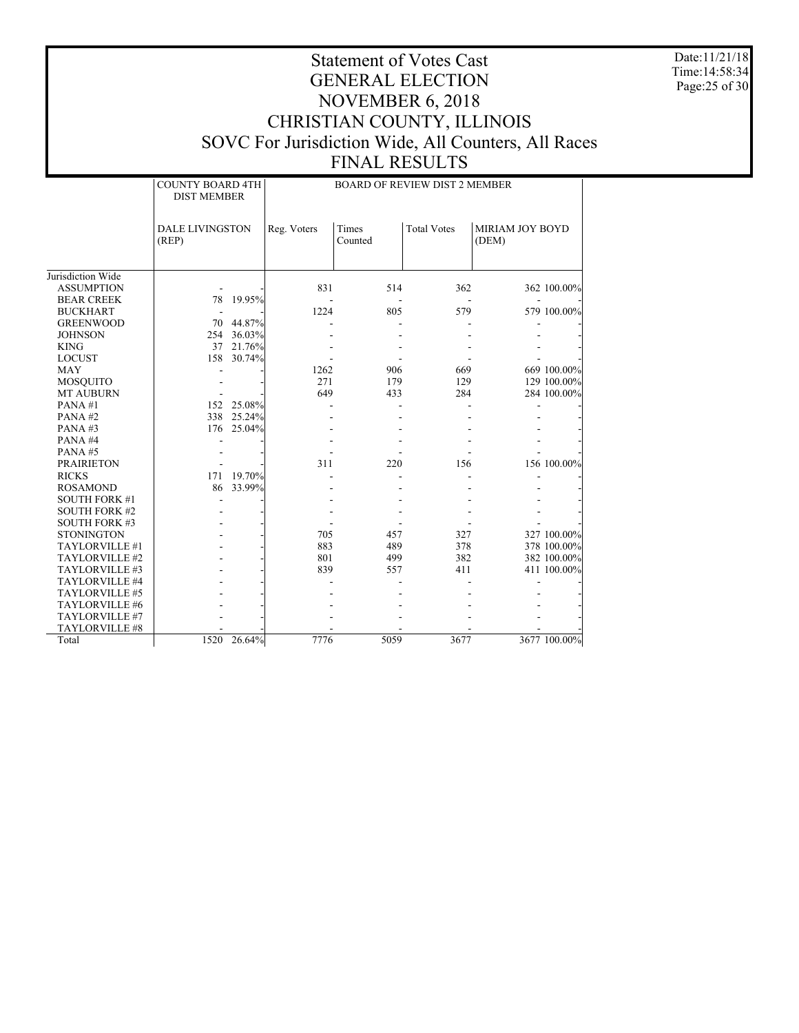Date:11/21/18 Time:14:58:34 Page:25 of 30

|                      | <b>COUNTY BOARD 4TH</b><br><b>DIST MEMBER</b> |             |             |                  | <b>BOARD OF REVIEW DIST 2 MEMBER</b> |                          |              |
|----------------------|-----------------------------------------------|-------------|-------------|------------------|--------------------------------------|--------------------------|--------------|
|                      | DALE LIVINGSTON<br>(REP)                      |             | Reg. Voters | Times<br>Counted | <b>Total Votes</b>                   | MIRIAM JOY BOYD<br>(DEM) |              |
| Jurisdiction Wide    |                                               |             |             |                  |                                      |                          |              |
| <b>ASSUMPTION</b>    |                                               |             | 831         | 514              | 362                                  |                          | 362 100.00%  |
| <b>BEAR CREEK</b>    | 78                                            | 19.95%      |             |                  |                                      |                          |              |
| <b>BUCKHART</b>      |                                               |             | 1224        | 805              | 579                                  |                          | 579 100.00%  |
| <b>GREENWOOD</b>     |                                               | 70 44.87%   |             |                  |                                      |                          |              |
| <b>JOHNSON</b>       |                                               | 254 36.03%  |             |                  |                                      |                          |              |
| <b>KING</b>          |                                               | 37 21.76%   |             |                  |                                      |                          |              |
| <b>LOCUST</b>        |                                               | 158 30.74%  |             |                  |                                      |                          |              |
| <b>MAY</b>           |                                               |             | 1262        | 906              | 669                                  |                          | 669 100.00%  |
| <b>MOSOUITO</b>      |                                               |             | 271         | 179              | 129                                  |                          | 129 100.00%  |
| <b>MT AUBURN</b>     |                                               |             | 649         | 433              | 284                                  |                          | 284 100.00%  |
| PANA#1               |                                               | 152 25.08%  |             |                  |                                      |                          |              |
| PANA#2               |                                               | 338 25.24%  |             |                  |                                      |                          |              |
| PANA#3               | 176                                           | 25.04%      |             |                  |                                      |                          |              |
| PANA#4               |                                               |             |             |                  |                                      |                          |              |
| PANA#5               |                                               |             |             |                  |                                      |                          |              |
| <b>PRAIRIETON</b>    |                                               |             | 311         | 220              | 156                                  |                          | 156 100.00%  |
| <b>RICKS</b>         |                                               | 171 19.70%  |             |                  |                                      |                          |              |
| <b>ROSAMOND</b>      | 86                                            | 33.99%      |             |                  |                                      |                          |              |
| <b>SOUTH FORK #1</b> |                                               |             |             |                  |                                      |                          |              |
| <b>SOUTH FORK #2</b> |                                               |             |             |                  |                                      |                          |              |
| <b>SOUTH FORK #3</b> |                                               |             |             |                  |                                      |                          |              |
| <b>STONINGTON</b>    |                                               |             | 705         | 457              | 327                                  |                          | 327 100.00%  |
| TAYLORVILLE #1       |                                               |             | 883         | 489              | 378                                  |                          | 378 100.00%  |
| TAYLORVILLE #2       |                                               |             | 801         | 499              | 382                                  |                          | 382 100.00%  |
| TAYLORVILLE #3       |                                               |             | 839         | 557              | 411                                  |                          | 411 100.00%  |
| TAYLORVILLE #4       |                                               |             |             |                  |                                      |                          |              |
| TAYLORVILLE #5       |                                               |             |             |                  |                                      |                          |              |
| TAYLORVILLE #6       |                                               |             |             |                  |                                      |                          |              |
| TAYLORVILLE #7       |                                               |             |             |                  |                                      |                          |              |
| TAYLORVILLE #8       |                                               | 1520 26.64% | 7776        | 5059             | 3677                                 |                          | 3677 100.00% |
| Total                |                                               |             |             |                  |                                      |                          |              |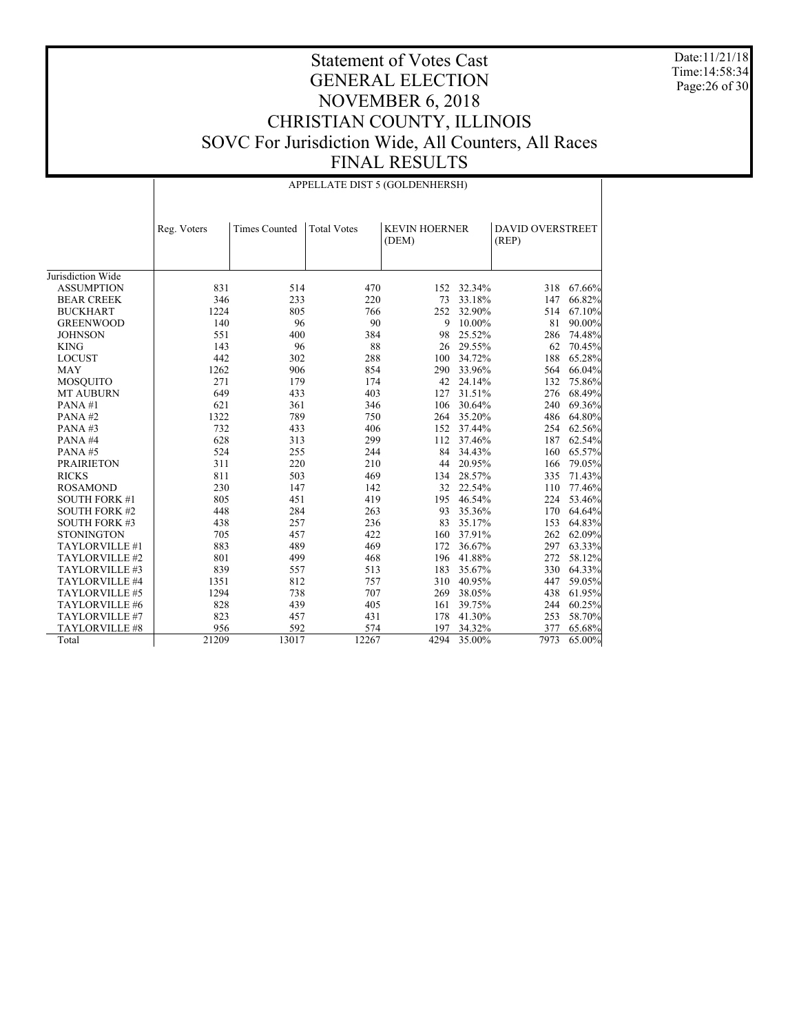Date:11/21/18 Time:14:58:34 Page:26 of 30

|                      | APPELLATE DIST 5 (GOLDENHERSH) |                      |                    |                               |            |                                  |            |  |
|----------------------|--------------------------------|----------------------|--------------------|-------------------------------|------------|----------------------------------|------------|--|
|                      | Reg. Voters                    | <b>Times Counted</b> | <b>Total Votes</b> | <b>KEVIN HOERNER</b><br>(DEM) |            | <b>DAVID OVERSTREET</b><br>(REP) |            |  |
| Jurisdiction Wide    |                                |                      |                    |                               |            |                                  |            |  |
| <b>ASSUMPTION</b>    | 831                            | 514                  | 470                |                               | 152 32.34% | 318                              | 67.66%     |  |
| <b>BEAR CREEK</b>    | 346                            | 233                  | 220                | 73                            | 33.18%     | 147                              | 66.82%     |  |
| <b>BUCKHART</b>      | 1224                           | 805                  | 766                |                               | 252 32.90% | 514                              | 67.10%     |  |
| <b>GREENWOOD</b>     | 140                            | 96                   | 90                 | 9                             | 10.00%     | 81                               | 90.00%     |  |
| <b>JOHNSON</b>       | 551                            | 400                  | 384                | 98                            | 25.52%     | 286                              | 74.48%     |  |
| <b>KING</b>          | 143                            | 96                   | 88                 | 26                            | 29.55%     | 62                               | 70.45%     |  |
| <b>LOCUST</b>        | 442                            | 302                  | 288                | 100                           | 34.72%     | 188                              | 65.28%     |  |
| <b>MAY</b>           | 1262                           | 906                  | 854                | 290                           | 33.96%     | 564                              | 66.04%     |  |
| <b>MOSQUITO</b>      | 271                            | 179                  | 174                | 42                            | 24.14%     | 132                              | 75.86%     |  |
| <b>MT AUBURN</b>     | 649                            | 433                  | 403                | 127                           | 31.51%     | 276                              | 68.49%     |  |
| PANA#1               | 621                            | 361                  | 346                | 106                           | 30.64%     | 240                              | 69.36%     |  |
| PANA#2               | 1322                           | 789                  | 750                |                               | 264 35.20% | 486                              | 64.80%     |  |
| PANA#3               | 732                            | 433                  | 406                | 152                           | 37.44%     | 254                              | 62.56%     |  |
| PANA#4               | 628                            | 313                  | 299                | 112                           | 37.46%     | 187                              | 62.54%     |  |
| PANA#5               | 524                            | 255                  | 244                | 84                            | 34.43%     | 160                              | 65.57%     |  |
| <b>PRAIRIETON</b>    | 311                            | 220                  | 210                | 44                            | 20.95%     | 166                              | 79.05%     |  |
| <b>RICKS</b>         | 811                            | 503                  | 469                | 134                           | 28.57%     | 335                              | 71.43%     |  |
| <b>ROSAMOND</b>      | 230                            | 147                  | 142                |                               | 32 22.54%  | 110                              | 77.46%     |  |
| <b>SOUTH FORK #1</b> | 805                            | 451                  | 419                | 195                           | 46.54%     | 224                              | 53.46%     |  |
| <b>SOUTH FORK #2</b> | 448                            | 284                  | 263                | 93                            | 35.36%     | 170                              | 64.64%     |  |
| <b>SOUTH FORK #3</b> | 438                            | 257                  | 236                | 83                            | 35.17%     | 153                              | 64.83%     |  |
| <b>STONINGTON</b>    | 705                            | 457                  | 422                | 160                           | 37.91%     | 262                              | 62.09%     |  |
| TAYLORVILLE #1       | 883                            | 489                  | 469                | 172                           | 36.67%     | 297                              | 63.33%     |  |
| TAYLORVILLE #2       | 801                            | 499                  | 468                | 196                           | 41.88%     |                                  | 272 58.12% |  |
| TAYLORVILLE #3       | 839                            | 557                  | 513                | 183                           | 35.67%     | 330                              | 64.33%     |  |
| TAYLORVILLE #4       | 1351                           | 812                  | 757                | 310                           | 40.95%     | 447                              | 59.05%     |  |
| TAYLORVILLE #5       | 1294                           | 738                  | 707                | 269                           | 38.05%     | 438                              | 61.95%     |  |
| TAYLORVILLE #6       | 828                            | 439                  | 405                | 161                           | 39.75%     | 244                              | 60.25%     |  |
| TAYLORVILLE #7       | 823                            | 457                  | 431                | 178                           | 41.30%     | 253                              | 58.70%     |  |
| TAYLORVILLE #8       | 956                            | 592                  | 574                | 197                           | 34.32%     | 377                              | 65.68%     |  |
| Total                | 21209                          | 13017                | 12267              | 4294                          | 35.00%     | 7973                             | 65.00%     |  |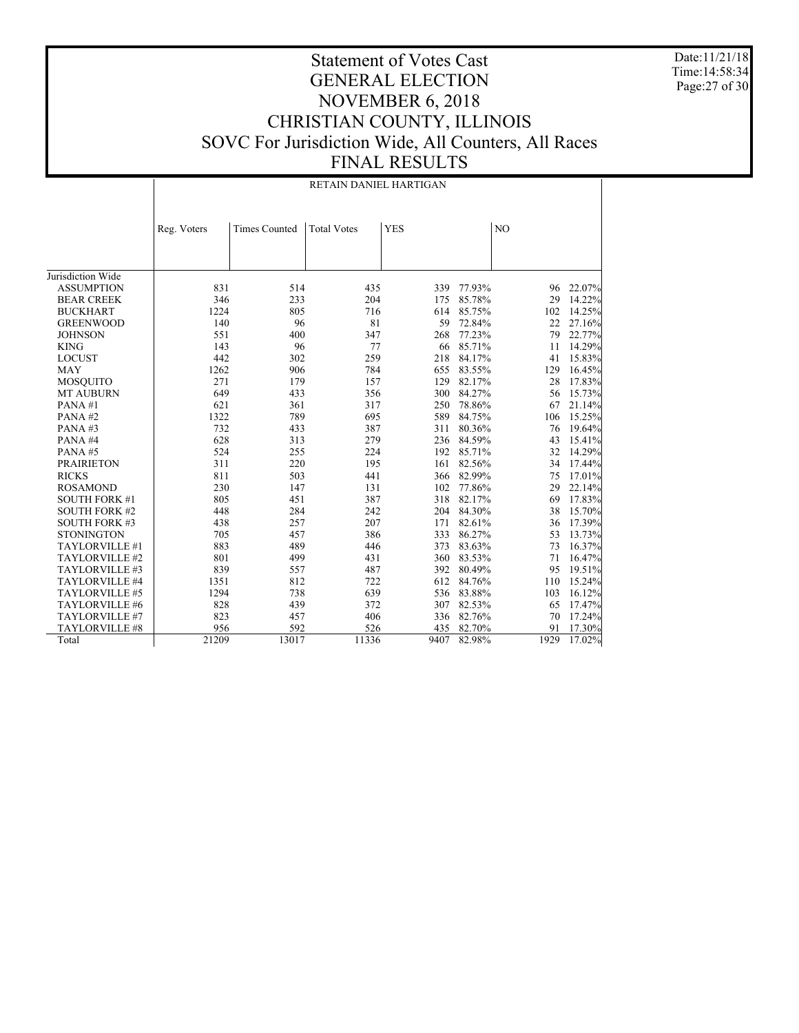Date:11/21/18 Time:14:58:34 Page:27 of 30

|                      | RETAIN DANIEL HARTIGAN |                      |                    |            |                |      |        |  |
|----------------------|------------------------|----------------------|--------------------|------------|----------------|------|--------|--|
|                      | Reg. Voters            | <b>Times Counted</b> | <b>Total Votes</b> | <b>YES</b> | N <sub>O</sub> |      |        |  |
|                      |                        |                      |                    |            |                |      |        |  |
|                      |                        |                      |                    |            |                |      |        |  |
| Jurisdiction Wide    |                        |                      |                    |            |                |      |        |  |
| <b>ASSUMPTION</b>    | 831                    | 514                  | 435                | 339        | 77.93%         | 96   | 22.07% |  |
| <b>BEAR CREEK</b>    | 346                    | 233                  | 204                | 175        | 85.78%         | 29   | 14.22% |  |
| <b>BUCKHART</b>      | 1224                   | 805                  | 716                | 614        | 85.75%         | 102  | 14.25% |  |
| <b>GREENWOOD</b>     | 140                    | 96                   | 81                 | 59         | 72.84%         | 22   | 27.16% |  |
|                      | 551                    |                      |                    |            |                |      |        |  |
| <b>JOHNSON</b>       | 143                    | 400                  | 347<br>77          | 268        | 77.23%         | 79   | 22.77% |  |
| <b>KING</b>          | 442                    | 96                   | 259                | 66<br>218  | 85.71%         | 11   | 14.29% |  |
| <b>LOCUST</b>        |                        | 302                  |                    |            | 84.17%         | 41   | 15.83% |  |
| <b>MAY</b>           | 1262                   | 906                  | 784                | 655        | 83.55%         | 129  | 16.45% |  |
| <b>MOSOUITO</b>      | 271                    | 179                  | 157                | 129        | 82.17%         | 28   | 17.83% |  |
| <b>MT AUBURN</b>     | 649                    | 433                  | 356                | 300        | 84.27%         | 56   | 15.73% |  |
| PANA#1               | 621                    | 361                  | 317                | 250        | 78.86%         | 67   | 21.14% |  |
| PANA#2               | 1322                   | 789                  | 695                | 589        | 84.75%         | 106  | 15.25% |  |
| PANA#3               | 732                    | 433                  | 387                | 311        | 80.36%         | 76   | 19.64% |  |
| PANA#4               | 628                    | 313                  | 279                | 236        | 84.59%         | 43   | 15.41% |  |
| PANA#5               | 524                    | 255                  | 224                | 192        | 85.71%         | 32   | 14.29% |  |
| <b>PRAIRIETON</b>    | 311                    | 220                  | 195                | 161        | 82.56%         | 34   | 17.44% |  |
| <b>RICKS</b>         | 811                    | 503                  | 441                |            | 366 82.99%     | 75   | 17.01% |  |
| <b>ROSAMOND</b>      | 230                    | 147                  | 131                | 102        | 77.86%         | 29   | 22.14% |  |
| <b>SOUTH FORK #1</b> | 805                    | 451                  | 387                | 318        | 82.17%         | 69   | 17.83% |  |
| <b>SOUTH FORK #2</b> | 448                    | 284                  | 242                | 204        | 84.30%         | 38   | 15.70% |  |
| <b>SOUTH FORK #3</b> | 438                    | 257                  | 207                | 171        | 82.61%         | 36   | 17.39% |  |
| <b>STONINGTON</b>    | 705                    | 457                  | 386                | 333        | 86.27%         | 53   | 13.73% |  |
| TAYLORVILLE #1       | 883                    | 489                  | 446                | 373        | 83.63%         | 73   | 16.37% |  |
| TAYLORVILLE #2       | 801                    | 499                  | 431                | 360        | 83.53%         | 71   | 16.47% |  |
| TAYLORVILLE #3       | 839                    | 557                  | 487                | 392        | 80.49%         | 95   | 19.51% |  |
| TAYLORVILLE #4       | 1351                   | 812                  | 722                | 612        | 84.76%         | 110  | 15.24% |  |
| TAYLORVILLE #5       | 1294                   | 738                  | 639                | 536        | 83.88%         | 103  | 16.12% |  |
| TAYLORVILLE #6       | 828                    | 439                  | 372                | 307        | 82.53%         | 65   | 17.47% |  |
| TAYLORVILLE #7       | 823                    | 457                  | 406                | 336        | 82.76%         | 70   | 17.24% |  |
| TAYLORVILLE #8       | 956                    | 592                  | 526                | 435        | 82.70%         | 91   | 17.30% |  |
| Total                | 21209                  | 13017                | 11336              | 9407       | 82.98%         | 1929 | 17.02% |  |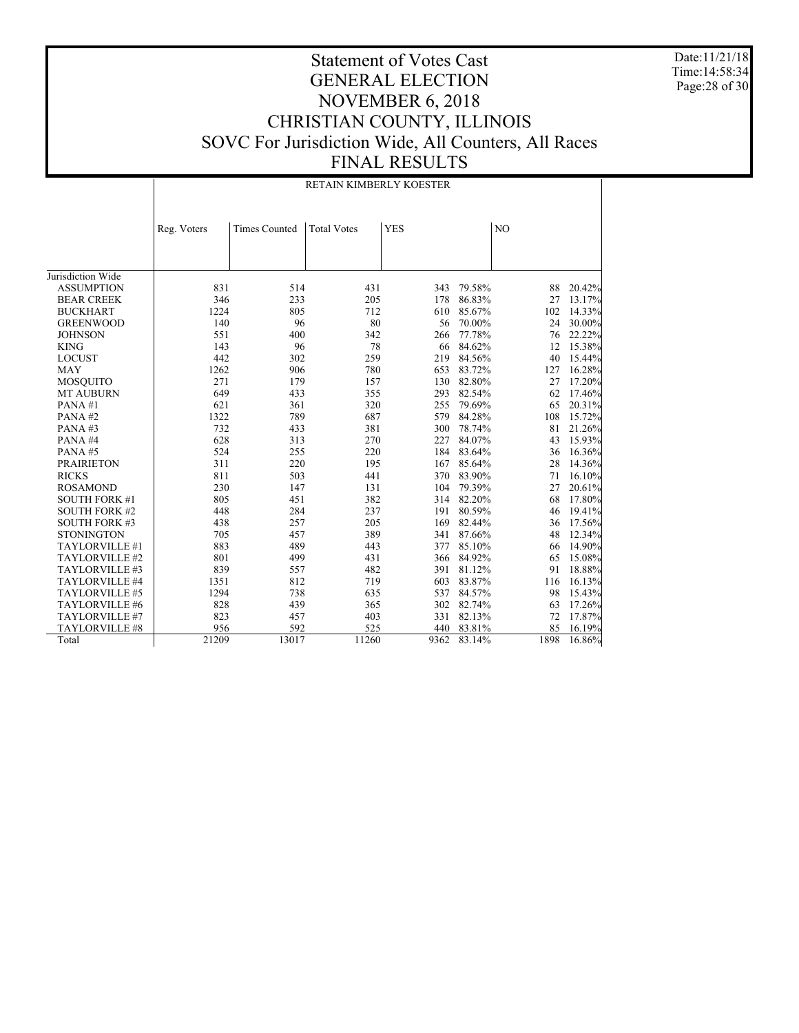Date:11/21/18 Time:14:58:34 Page:28 of 30

|                      | RETAIN KIMBERLY KOESTER |                      |                    |            |            |      |        |  |
|----------------------|-------------------------|----------------------|--------------------|------------|------------|------|--------|--|
|                      | Reg. Voters             | <b>Times Counted</b> | <b>Total Votes</b> | <b>YES</b> | NO         |      |        |  |
|                      |                         |                      |                    |            |            |      |        |  |
| Jurisdiction Wide    |                         |                      |                    |            |            |      |        |  |
| <b>ASSUMPTION</b>    | 831                     | 514                  | 431                | 343        | 79.58%     | 88   | 20.42% |  |
| <b>BEAR CREEK</b>    | 346                     | 233                  | 205                | 178        | 86.83%     | 27   | 13.17% |  |
| <b>BUCKHART</b>      | 1224                    | 805                  | 712                | 610        | 85.67%     | 102  | 14.33% |  |
| <b>GREENWOOD</b>     | 140                     | 96                   | 80                 | 56         | 70.00%     | 24   | 30.00% |  |
| <b>JOHNSON</b>       | 551                     | 400                  | 342                | 266        | 77.78%     | 76   | 22.22% |  |
| <b>KING</b>          | 143                     | 96                   | 78                 | 66         | 84.62%     | 12   | 15.38% |  |
| <b>LOCUST</b>        | 442                     | 302                  | 259                | 219        | 84.56%     | 40   | 15.44% |  |
| <b>MAY</b>           | 1262                    | 906                  | 780                | 653        | 83.72%     | 127  | 16.28% |  |
| <b>MOSQUITO</b>      | 271                     | 179                  | 157                | 130        | 82.80%     | 27   | 17.20% |  |
| <b>MT AUBURN</b>     | 649                     | 433                  | 355                | 293        | 82.54%     | 62   | 17.46% |  |
| PANA#1               | 621                     | 361                  | 320                | 255        | 79.69%     | 65   | 20.31% |  |
| PANA#2               | 1322                    | 789                  | 687                | 579        | 84.28%     | 108  | 15.72% |  |
| PANA#3               | 732                     | 433                  | 381                | 300        | 78.74%     | 81   | 21.26% |  |
| PANA#4               | 628                     | 313                  | 270                | 227        | 84.07%     | 43   | 15.93% |  |
| PANA#5               | 524                     | 255                  | 220                | 184        | 83.64%     | 36   | 16.36% |  |
| <b>PRAIRIETON</b>    | 311                     | 220                  | 195                | 167        | 85.64%     | 28   | 14.36% |  |
| <b>RICKS</b>         | 811                     | 503                  | 441                | 370        | 83.90%     | 71   | 16.10% |  |
| <b>ROSAMOND</b>      | 230                     | 147                  | 131                | 104        | 79.39%     | 27   | 20.61% |  |
| <b>SOUTH FORK #1</b> | 805                     | 451                  | 382                |            | 314 82.20% | 68   | 17.80% |  |
| <b>SOUTH FORK #2</b> | 448                     | 284                  | 237                | 191        | 80.59%     | 46   | 19.41% |  |
| <b>SOUTH FORK #3</b> | 438                     | 257                  | 205                | 169        | 82.44%     | 36   | 17.56% |  |
| <b>STONINGTON</b>    | 705                     | 457                  | 389                | 341        | 87.66%     | 48   | 12.34% |  |
| TAYLORVILLE #1       | 883                     | 489                  | 443                | 377        | 85.10%     | 66   | 14.90% |  |
| TAYLORVILLE #2       | 801                     | 499                  | 431                | 366        | 84.92%     | 65   | 15.08% |  |
| TAYLORVILLE #3       | 839                     | 557                  | 482                | 391        | 81.12%     | 91   | 18.88% |  |
| TAYLORVILLE #4       | 1351                    | 812                  | 719                | 603        | 83.87%     | 116  | 16.13% |  |
| TAYLORVILLE #5       | 1294                    | 738                  | 635                | 537        | 84.57%     | 98   | 15.43% |  |
| TAYLORVILLE #6       | 828                     | 439                  | 365                | 302        | 82.74%     | 63   | 17.26% |  |
| TAYLORVILLE #7       | 823                     | 457                  | 403                | 331        | 82.13%     | 72   | 17.87% |  |
| TAYLORVILLE #8       | 956                     | 592                  | 525                | 440        | 83.81%     | 85   | 16.19% |  |
| Total                | 21209                   | 13017                | 11260              | 9362       | 83.14%     | 1898 | 16.86% |  |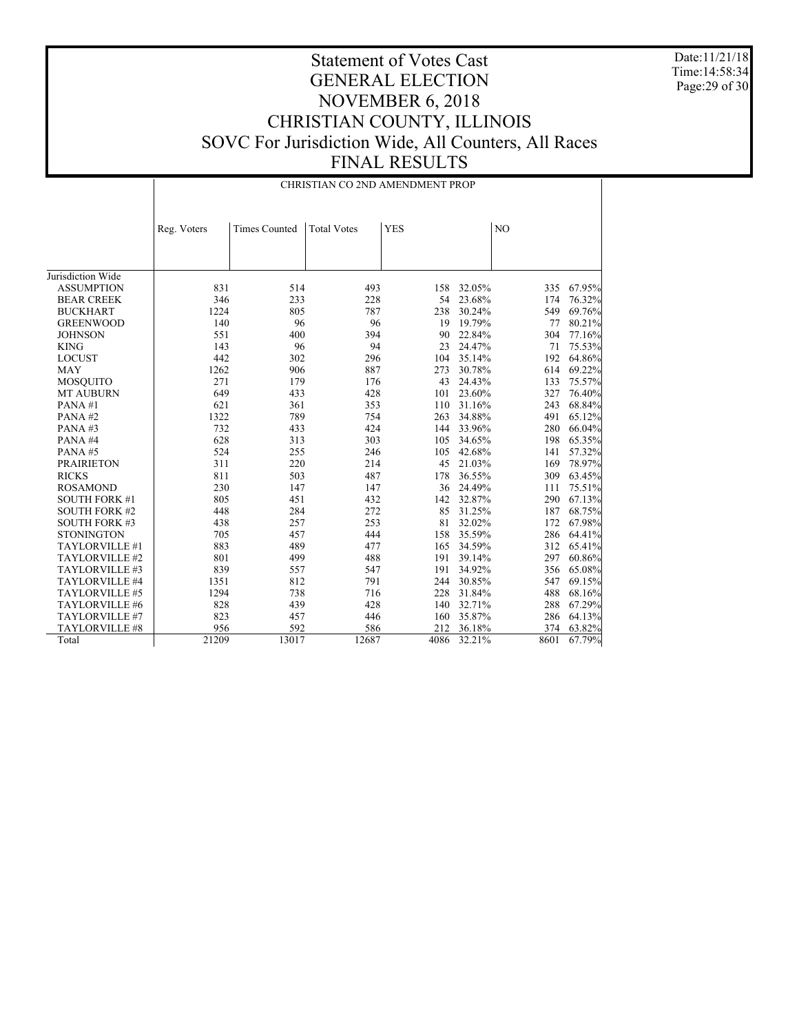Date:11/21/18 Time:14:58:34 Page:29 of 30

|                      | CHRISTIAN CO 2ND AMENDMENT PROP |                      |                    |            |        |      |        |  |
|----------------------|---------------------------------|----------------------|--------------------|------------|--------|------|--------|--|
|                      | Reg. Voters                     | <b>Times Counted</b> | <b>Total Votes</b> | <b>YES</b> | NO     |      |        |  |
|                      |                                 |                      |                    |            |        |      |        |  |
|                      |                                 |                      |                    |            |        |      |        |  |
| Jurisdiction Wide    |                                 |                      |                    |            |        |      |        |  |
| <b>ASSUMPTION</b>    | 831                             | 514                  | 493                | 158        | 32.05% | 335  | 67.95% |  |
| <b>BEAR CREEK</b>    | 346                             | 233                  | 228                | 54         | 23.68% | 174  | 76.32% |  |
| <b>BUCKHART</b>      | 1224                            | 805                  | 787                | 238        | 30.24% | 549  | 69.76% |  |
| <b>GREENWOOD</b>     | 140                             | 96                   | 96                 | 19         | 19.79% | 77   | 80.21% |  |
| <b>JOHNSON</b>       | 551                             | 400                  | 394                | 90         | 22.84% | 304  | 77.16% |  |
| <b>KING</b>          | 143                             | 96                   | 94                 | 23         | 24.47% | 71   | 75.53% |  |
| <b>LOCUST</b>        | 442                             | 302                  | 296                | 104        | 35.14% | 192  | 64.86% |  |
| <b>MAY</b>           | 1262                            | 906                  | 887                | 273        | 30.78% | 614  | 69.22% |  |
| <b>MOSQUITO</b>      | 271                             | 179                  | 176                | 43         | 24.43% | 133  | 75.57% |  |
| <b>MT AUBURN</b>     | 649                             | 433                  | 428                | 101        | 23.60% | 327  | 76.40% |  |
| PANA#1               | 621                             | 361                  | 353                | 110        | 31.16% | 243  | 68.84% |  |
| PANA#2               | 1322                            | 789                  | 754                | 263        | 34.88% | 491  | 65.12% |  |
| PANA#3               | 732                             | 433                  | 424                | 144        | 33.96% | 280  | 66.04% |  |
| PANA#4               | 628                             | 313                  | 303                | 105        | 34.65% | 198  | 65.35% |  |
| PANA#5               | 524                             | 255                  | 246                | 105        | 42.68% | 141  | 57.32% |  |
| <b>PRAIRIETON</b>    | 311                             | 220                  | 214                | 45         | 21.03% | 169  | 78.97% |  |
| <b>RICKS</b>         | 811                             | 503                  | 487                | 178        | 36.55% | 309  | 63.45% |  |
| <b>ROSAMOND</b>      | 230                             | 147                  | 147                | 36         | 24.49% | 111  | 75.51% |  |
| <b>SOUTH FORK #1</b> | 805                             | 451                  | 432                | 142        | 32.87% | 290  | 67.13% |  |
| <b>SOUTH FORK #2</b> | 448                             | 284                  | 272                | 85         | 31.25% | 187  | 68.75% |  |
| <b>SOUTH FORK #3</b> | 438                             | 257                  | 253                | 81         | 32.02% | 172  | 67.98% |  |
| <b>STONINGTON</b>    | 705                             | 457                  | 444                | 158        | 35.59% | 286  | 64.41% |  |
| TAYLORVILLE #1       | 883                             | 489                  | 477                | 165        | 34.59% | 312  | 65.41% |  |
| TAYLORVILLE #2       | 801                             | 499                  | 488                | 191        | 39.14% | 297  | 60.86% |  |
| TAYLORVILLE #3       | 839                             | 557                  | 547                | 191        | 34.92% | 356  | 65.08% |  |
| TAYLORVILLE #4       | 1351                            | 812                  | 791                | 244        | 30.85% | 547  | 69.15% |  |
| TAYLORVILLE #5       | 1294                            | 738                  | 716                | 228        | 31.84% | 488  | 68.16% |  |
| TAYLORVILLE #6       | 828                             | 439                  | 428                | 140        | 32.71% | 288  | 67.29% |  |
| TAYLORVILLE #7       | 823                             | 457                  | 446                | 160        | 35.87% | 286  | 64.13% |  |
| TAYLORVILLE #8       | 956                             | 592                  | 586                | 212        | 36.18% | 374  | 63.82% |  |
| Total                | 21209                           | 13017                | 12687              | 4086       | 32.21% | 8601 | 67.79% |  |